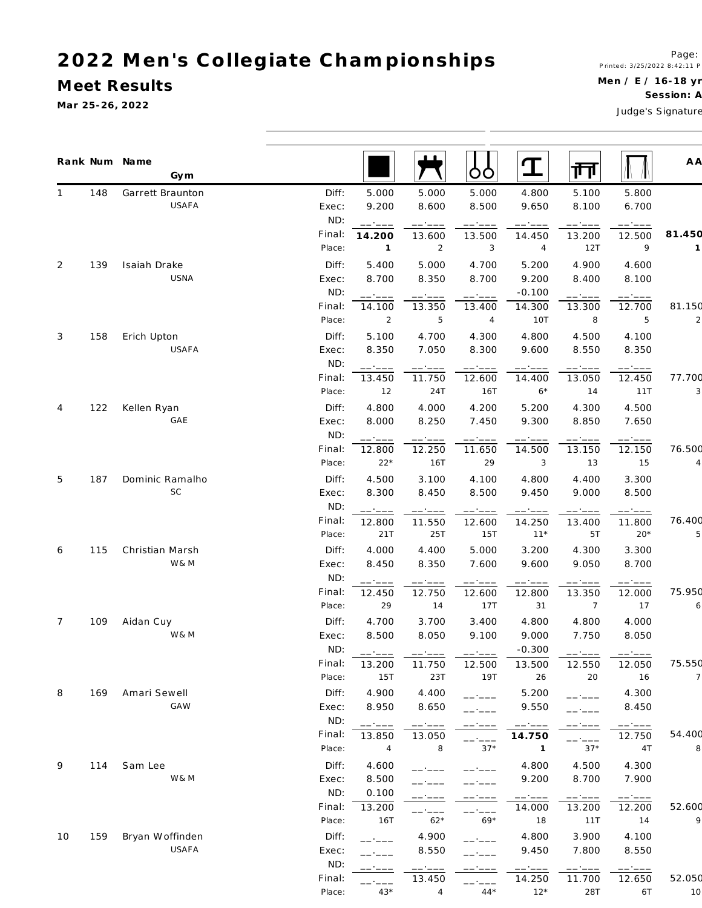#### **M eet Results**

**Ma r 25-26, 2022**

Men / E / 16-18 yr

Session: A

Judge's Signature

|                |     | Rank Num Name<br>Gym |              |                |        | OO             | $\mathbf T$      | 襾                |                  | A A    |
|----------------|-----|----------------------|--------------|----------------|--------|----------------|------------------|------------------|------------------|--------|
| 1              | 148 | Garrett Braunton     | Diff:        | 5.000          | 5.000  | 5.000          | 4.800            | 5.100            | 5.800            |        |
|                |     | USAFA                | Exec:        | 9.200          | 8.600  | 8.500          | 9.650            | 8.100            | 6.700            |        |
|                |     |                      | ND:          | - - - - -      | ------ | ------         | -- ----          | ------           | -----            |        |
|                |     |                      | Final:       | 14.200         | 13.600 | 13.500         | 14.450           | 13.200           | 12.500           | 81.450 |
|                |     |                      | Place:       | $\overline{1}$ | 2      | $\overline{3}$ | $\overline{4}$   | 12T              | 9                |        |
| 2              | 139 | Isaiah Drake         | Diff:        | 5.400          | 5.000  | 4.700          | 5.200            | 4.900            | 4.600            |        |
|                |     | USNA                 | Exec:        | 8.700          | 8.350  | 8.700          | 9.200            | 8.400            | 8.100            |        |
|                |     |                      | ND:          | $-$ - $ -$     |        | $----$         | $-0.100$         | ------           | ------           |        |
|                |     |                      | Final:       | 14.100         | 13.350 | 13.400         | 14.300           | 13.300           | 12.700           | 81.150 |
|                |     |                      | Place:       | 2              | 5      | 4              | 10T              | 8                | 5                |        |
| 3              | 158 | Erich Upton          | Diff:        | 5.100          | 4.700  | 4.300          | 4.800            | 4.500            | 4.100            |        |
|                |     | USAFA                | Exec:        | 8.350          | 7.050  | 8.300          | 9.600            | 8.550            | 8.350            |        |
|                |     |                      | ND:          |                |        |                |                  |                  |                  |        |
|                |     |                      | Final:       | 13.450         | 11.750 | 12.600         | 14.400           | 13.050           | 12.450           | 77.700 |
|                |     |                      | Place:       | 12             | 24T    | 16T            | $6*$             | 14               | 11T              |        |
| 4              | 122 | Kellen Ryan          | Diff:        | 4.800          | 4.000  | 4.200          | 5.200            | 4.300            | 4.500            |        |
|                |     | GAE                  | Exec:        | 8.000          | 8.250  | 7.450          | 9.300            | 8.850            | 7.650            |        |
|                |     |                      | ND:          | .              | ------ | ------         | ------           | ------           | ------           |        |
|                |     |                      | Final:       | 12.800         | 12.250 | 11.650         | 14.500           | 13.150           | 12.150           | 76.500 |
|                |     |                      | Place:       | $22*$          | 16T    | 29             | 3                | 13               | 15               |        |
| 5              | 187 | Dominic Ramalho      | Diff:        | 4.500          | 3.100  | 4.100          | 4.800            | 4.400            | 3.300            |        |
|                |     | SC                   | Exec:        | 8.300          | 8.450  | 8.500          | 9.450            | 9.000            | 8.500            |        |
|                |     |                      | ND:          | ————           | ------ | ------         | -- ----          |                  | ————             |        |
|                |     |                      | Final:       | 12.800         | 11.550 | 12.600         | 14.250           | 13.400           | 11.800           | 76.400 |
|                |     |                      | Place:       | 21T            | 25T    | 15T            | $11*$            | 5T               | $20*$            |        |
| 6              | 115 | Christian Marsh      | Diff:        | 4.000          | 4.400  | 5.000          | 3.200            | 4.300            | 3.300            |        |
|                |     | W& M                 | Exec:        | 8.450          | 8.350  | 7.600          | 9.600            | 9.050            | 8.700            |        |
|                |     |                      | ND:          | -----          | ------ | ------         | ------           | ------           |                  |        |
|                |     |                      | Final:       | 12.450         | 12.750 | 12.600         | 12.800           | 13.350           | 12.000           | 75.950 |
|                |     |                      | Place:       | 29             | 14     | 17T            | 31               | $\overline{7}$   | 17               |        |
| $\overline{7}$ | 109 | Aidan Cuy            | Diff:        | 4.700          | 3.700  | 3.400          | 4.800            | 4.800            | 4.000            |        |
|                |     | W& M                 | Exec:        | 8.500          | 8.050  | 9.100          | 9.000            | 7.750            | 8.050            |        |
|                |     |                      | ND:          | $-1$           |        |                | $-0.300$         | .                |                  |        |
|                |     |                      | Final:       | 13.200         | 11.750 | 12.500         | 13.500           | 12.550           | 12.050           | 75.550 |
|                |     |                      | Place:       | 15T            | 23T    | 19T            | 26               | 20               | 16               |        |
| 8              | 169 | Amari Sewell         | Diff:        | 4.900          | 4.400  |                | 5.200            | ------           | 4.300            |        |
|                |     | GAW                  | Exec:        | 8.950          | 8.650  |                | 9.550            |                  | 8.450            |        |
|                |     |                      | ND:          | $   -$         |        |                | ------           |                  |                  |        |
|                |     |                      | Final:       | 13.850         | 13.050 |                | 14.750           |                  | ------<br>12.750 | 54.400 |
|                |     |                      | Place:       | $\overline{4}$ | 8      | $37*$          | $\overline{1}$   | ------<br>$37*$  | 4T               |        |
| 9              | 114 | Sam Lee              | Diff:        | 4.600          |        |                | 4.800            | 4.500            | 4.300            |        |
|                |     | W & M                | Exec:        | 8.500          |        |                | 9.200            | 8.700            | 7.900            |        |
|                |     |                      | ND:          | 0.100          |        |                |                  |                  |                  |        |
|                |     |                      | Final:       | 13.200         |        |                | ------<br>14.000 | ------<br>13.200 | ------<br>12.200 | 52.600 |
|                |     |                      | Place:       | 16T            | $62*$  | $69*$          | 18               | 11T              | 14               |        |
|                | 159 | Bryan Woffinden      |              |                |        |                |                  | 3.900            | 4.100            |        |
| 10             |     | USAFA                | Diff:        | $-1$ $  -$     | 4.900  |                | 4.800            |                  |                  |        |
|                |     |                      | Exec:<br>ND: |                | 8.550  |                | 9.450            | 7.800            | 8.550            |        |
|                |     |                      | Final:       |                | 13.450 |                | 14.250           | ------<br>11.700 | 12.650           | 52.050 |
|                |     |                      | Place:       | $43*$          | 4      | $44*$          | $12*$            | 28T              | 6T               | 10     |
|                |     |                      |              |                |        |                |                  |                  |                  |        |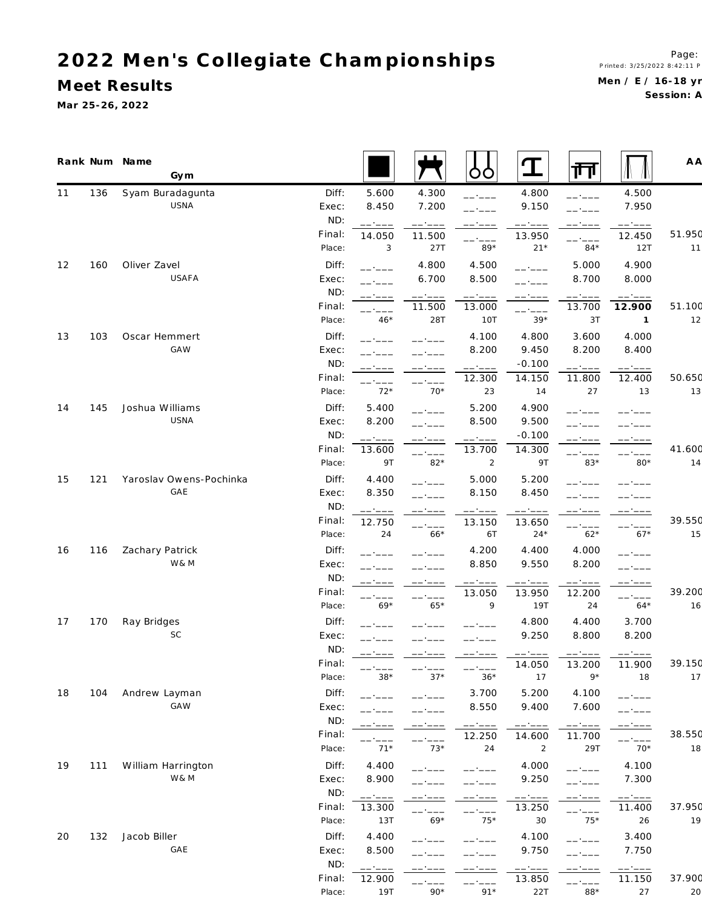**M eet Results**

**Ma r 25-26, 2022**

Page: P rin te d : 3/25/2022 8:42:11 P Men / E / 16-18 yr Session: A

|    |     | Rank Num Name<br>Gym    |        |                                                                                                                                                                                                                                                                                                                                                                                                                                                                                              |                   | OO              | $\mathbf T$      | गि                                                                                                                                                                                                                                                                                                                                                                                                                                                                                   |                  | A A    |
|----|-----|-------------------------|--------|----------------------------------------------------------------------------------------------------------------------------------------------------------------------------------------------------------------------------------------------------------------------------------------------------------------------------------------------------------------------------------------------------------------------------------------------------------------------------------------------|-------------------|-----------------|------------------|--------------------------------------------------------------------------------------------------------------------------------------------------------------------------------------------------------------------------------------------------------------------------------------------------------------------------------------------------------------------------------------------------------------------------------------------------------------------------------------|------------------|--------|
| 11 | 136 | Syam Buradagunta        | Diff:  | 5.600                                                                                                                                                                                                                                                                                                                                                                                                                                                                                        | 4.300             | ------          | 4.800            | ------                                                                                                                                                                                                                                                                                                                                                                                                                                                                               | 4.500            |        |
|    |     | USNA                    | Exec:  | 8.450                                                                                                                                                                                                                                                                                                                                                                                                                                                                                        | 7.200             | -- ----         | 9.150            | ------                                                                                                                                                                                                                                                                                                                                                                                                                                                                               | 7.950            |        |
|    |     |                         | ND:    | ------                                                                                                                                                                                                                                                                                                                                                                                                                                                                                       | ------            |                 | ------           | -- ----                                                                                                                                                                                                                                                                                                                                                                                                                                                                              | ------           |        |
|    |     |                         | Final: | 14.050                                                                                                                                                                                                                                                                                                                                                                                                                                                                                       | 11.500            | -- ----         | 13.950           | ------                                                                                                                                                                                                                                                                                                                                                                                                                                                                               | 12.450           | 51.950 |
|    |     |                         | Place: | 3                                                                                                                                                                                                                                                                                                                                                                                                                                                                                            | 27T               | $89*$           | $21*$            | $84*$                                                                                                                                                                                                                                                                                                                                                                                                                                                                                | 12T              | $11$   |
| 12 | 160 | Oliver Zavel            | Diff:  | $-$ - $ -$                                                                                                                                                                                                                                                                                                                                                                                                                                                                                   | 4.800             | 4.500           | - - - - -        | 5.000                                                                                                                                                                                                                                                                                                                                                                                                                                                                                | 4.900            |        |
|    |     | USAFA                   | Exec:  |                                                                                                                                                                                                                                                                                                                                                                                                                                                                                              | 6.700             | 8.500           | - - - - -        | 8.700                                                                                                                                                                                                                                                                                                                                                                                                                                                                                | 8.000            |        |
|    |     |                         | ND:    | - ----                                                                                                                                                                                                                                                                                                                                                                                                                                                                                       | $--- \cdot --- -$ | $--- - - - -$   |                  | ------                                                                                                                                                                                                                                                                                                                                                                                                                                                                               | $--- - - - -$    |        |
|    |     |                         | Final: |                                                                                                                                                                                                                                                                                                                                                                                                                                                                                              | 11.500            | 13.000          | ------           | 13.700                                                                                                                                                                                                                                                                                                                                                                                                                                                                               | 12.900           | 51.100 |
|    |     |                         | Place: | $46*$                                                                                                                                                                                                                                                                                                                                                                                                                                                                                        | 28T               | 10T             | $39*$            | 3T                                                                                                                                                                                                                                                                                                                                                                                                                                                                                   | $\mathbf{1}$     | 12     |
| 13 | 103 | Oscar Hemmert           | Diff:  |                                                                                                                                                                                                                                                                                                                                                                                                                                                                                              |                   | 4.100           | 4.800            | 3.600                                                                                                                                                                                                                                                                                                                                                                                                                                                                                | 4.000            |        |
|    |     | <b>GAW</b>              | Exec:  |                                                                                                                                                                                                                                                                                                                                                                                                                                                                                              |                   | 8.200           | 9.450            | 8.200                                                                                                                                                                                                                                                                                                                                                                                                                                                                                | 8.400            |        |
|    |     |                         | ND:    |                                                                                                                                                                                                                                                                                                                                                                                                                                                                                              |                   | ------          | $-0.100$         | ------                                                                                                                                                                                                                                                                                                                                                                                                                                                                               | ------           |        |
|    |     |                         | Final: |                                                                                                                                                                                                                                                                                                                                                                                                                                                                                              |                   | 12.300          | 14.150           | 11.800                                                                                                                                                                                                                                                                                                                                                                                                                                                                               | 12.400           | 50.650 |
|    |     |                         | Place: | $72*$                                                                                                                                                                                                                                                                                                                                                                                                                                                                                        | $70*$             | 23              | 14               | 27                                                                                                                                                                                                                                                                                                                                                                                                                                                                                   | 13               | 13     |
| 14 | 145 | Joshua Williams         | Diff:  | 5.400                                                                                                                                                                                                                                                                                                                                                                                                                                                                                        |                   | 5.200           | 4.900            |                                                                                                                                                                                                                                                                                                                                                                                                                                                                                      |                  |        |
|    |     | USNA                    | Exec:  | 8.200                                                                                                                                                                                                                                                                                                                                                                                                                                                                                        |                   | 8.500           | 9.500            |                                                                                                                                                                                                                                                                                                                                                                                                                                                                                      |                  |        |
|    |     |                         | ND:    | ------                                                                                                                                                                                                                                                                                                                                                                                                                                                                                       |                   | ------          | $-0.100$         |                                                                                                                                                                                                                                                                                                                                                                                                                                                                                      |                  |        |
|    |     |                         | Final: | 13.600                                                                                                                                                                                                                                                                                                                                                                                                                                                                                       | ------            | 13.700          | 14.300           | ------                                                                                                                                                                                                                                                                                                                                                                                                                                                                               | ------           | 41.600 |
|    |     |                         | Place: | 9 T                                                                                                                                                                                                                                                                                                                                                                                                                                                                                          | $82*$             | $\overline{2}$  | 9T               | $83*$                                                                                                                                                                                                                                                                                                                                                                                                                                                                                | $80*$            | 14     |
| 15 | 121 | Yaroslav Owens-Pochinka | Diff:  | 4.400                                                                                                                                                                                                                                                                                                                                                                                                                                                                                        |                   | 5.000           | 5.200            |                                                                                                                                                                                                                                                                                                                                                                                                                                                                                      |                  |        |
|    |     | GAE                     | Exec:  | 8.350                                                                                                                                                                                                                                                                                                                                                                                                                                                                                        |                   | 8.150           | 8.450            |                                                                                                                                                                                                                                                                                                                                                                                                                                                                                      |                  |        |
|    |     |                         | ND:    | $\begin{tabular}{ll} \multicolumn{2}{c} {\textbf{1}} & \multicolumn{2}{c} {\textbf{2}} & \multicolumn{2}{c} {\textbf{3}} & \multicolumn{2}{c} {\textbf{4}} & \multicolumn{2}{c} {\textbf{5}} & \multicolumn{2}{c} {\textbf{6}} & \multicolumn{2}{c} {\textbf{7}} & \multicolumn{2}{c} {\textbf{8}} & \multicolumn{2}{c} {\textbf{9}} & \multicolumn{2}{c} {\textbf{1}} & \multicolumn{2}{c} {\textbf{1}} & \multicolumn{2}{c} {\textbf{1}} & \multicolumn{2}{c} {\textbf{1}} & \multicolumn$ | ------            | ------          | ------           | ------                                                                                                                                                                                                                                                                                                                                                                                                                                                                               | ------           |        |
|    |     |                         | Final: | 12.750                                                                                                                                                                                                                                                                                                                                                                                                                                                                                       | ------            | 13.150          | 13.650           |                                                                                                                                                                                                                                                                                                                                                                                                                                                                                      |                  | 39.550 |
|    |     |                         | Place: | 24                                                                                                                                                                                                                                                                                                                                                                                                                                                                                           | $66*$             | 6T              | $24*$            | ------<br>$62*$                                                                                                                                                                                                                                                                                                                                                                                                                                                                      | ------<br>$67*$  | 15     |
| 16 | 116 | Zachary Patrick         | Diff:  |                                                                                                                                                                                                                                                                                                                                                                                                                                                                                              |                   | 4.200           | 4.400            | 4.000                                                                                                                                                                                                                                                                                                                                                                                                                                                                                | -----            |        |
|    |     | W&M                     | Exec:  |                                                                                                                                                                                                                                                                                                                                                                                                                                                                                              | -- ----           | 8.850           | 9.550            | 8.200                                                                                                                                                                                                                                                                                                                                                                                                                                                                                | -- ----          |        |
|    |     |                         | ND:    | ------                                                                                                                                                                                                                                                                                                                                                                                                                                                                                       | -- '---           | ------          | ------           | ------                                                                                                                                                                                                                                                                                                                                                                                                                                                                               | ------           |        |
|    |     |                         | Final: |                                                                                                                                                                                                                                                                                                                                                                                                                                                                                              |                   | 13.050          | 13.950           | 12.200                                                                                                                                                                                                                                                                                                                                                                                                                                                                               | ------           | 39.200 |
|    |     |                         | Place: | $69*$                                                                                                                                                                                                                                                                                                                                                                                                                                                                                        | $65*$             | 9               | 19T              | 24                                                                                                                                                                                                                                                                                                                                                                                                                                                                                   | $64*$            | 16     |
| 17 | 170 | Ray Bridges             | Diff:  |                                                                                                                                                                                                                                                                                                                                                                                                                                                                                              |                   |                 | 4.800            | 4.400                                                                                                                                                                                                                                                                                                                                                                                                                                                                                | 3.700            |        |
|    |     | SC                      | Exec:  |                                                                                                                                                                                                                                                                                                                                                                                                                                                                                              |                   |                 | 9.250            | 8.800                                                                                                                                                                                                                                                                                                                                                                                                                                                                                | 8.200            |        |
|    |     |                         | ND:    | ------                                                                                                                                                                                                                                                                                                                                                                                                                                                                                       |                   |                 |                  |                                                                                                                                                                                                                                                                                                                                                                                                                                                                                      |                  |        |
|    |     |                         | Final: |                                                                                                                                                                                                                                                                                                                                                                                                                                                                                              |                   |                 | ------<br>14.050 | 13.200                                                                                                                                                                                                                                                                                                                                                                                                                                                                               | 11.900           | 39.150 |
|    |     |                         | Place: | $38*$                                                                                                                                                                                                                                                                                                                                                                                                                                                                                        | $37*$             | ------<br>$36*$ | 17               | $9*$                                                                                                                                                                                                                                                                                                                                                                                                                                                                                 | 18               | 17     |
| 18 | 104 | Andrew Layman           | Diff:  | $  -$                                                                                                                                                                                                                                                                                                                                                                                                                                                                                        |                   | 3.700           | 5.200            | 4.100                                                                                                                                                                                                                                                                                                                                                                                                                                                                                |                  |        |
|    |     | GAW                     | Exec:  |                                                                                                                                                                                                                                                                                                                                                                                                                                                                                              |                   | 8.550           | 9.400            | 7.600                                                                                                                                                                                                                                                                                                                                                                                                                                                                                | -----<br>------  |        |
|    |     |                         | ND:    |                                                                                                                                                                                                                                                                                                                                                                                                                                                                                              | -- ----           | ------          |                  | $\begin{tabular}{cccccc} \multicolumn{2}{c}{} & \multicolumn{2}{c}{} & \multicolumn{2}{c}{} & \multicolumn{2}{c}{} & \multicolumn{2}{c}{} & \multicolumn{2}{c}{} & \multicolumn{2}{c}{} & \multicolumn{2}{c}{} & \multicolumn{2}{c}{} & \multicolumn{2}{c}{} & \multicolumn{2}{c}{} & \multicolumn{2}{c}{} & \multicolumn{2}{c}{} & \multicolumn{2}{c}{} & \multicolumn{2}{c}{} & \multicolumn{2}{c}{} & \multicolumn{2}{c}{} & \multicolumn{2}{c}{} & \multicolumn{2}{c}{} & \mult$ | ------           |        |
|    |     |                         | Final: |                                                                                                                                                                                                                                                                                                                                                                                                                                                                                              |                   | 12.250          | ------<br>14.600 | 11.700                                                                                                                                                                                                                                                                                                                                                                                                                                                                               |                  | 38.550 |
|    |     |                         | Place: | $   -$<br>$71*$                                                                                                                                                                                                                                                                                                                                                                                                                                                                              | ------<br>$73*$   | 24              | $\overline{2}$   | 29T                                                                                                                                                                                                                                                                                                                                                                                                                                                                                  | ------<br>$70*$  | 18     |
| 19 | 111 | William Harrington      | Diff:  | 4.400                                                                                                                                                                                                                                                                                                                                                                                                                                                                                        |                   |                 | 4.000            |                                                                                                                                                                                                                                                                                                                                                                                                                                                                                      | 4.100            |        |
|    |     | W& M                    | Exec:  | 8.900                                                                                                                                                                                                                                                                                                                                                                                                                                                                                        |                   |                 | 9.250            | - ----                                                                                                                                                                                                                                                                                                                                                                                                                                                                               | 7.300            |        |
|    |     |                         | ND:    |                                                                                                                                                                                                                                                                                                                                                                                                                                                                                              |                   |                 |                  | - - - - -                                                                                                                                                                                                                                                                                                                                                                                                                                                                            |                  |        |
|    |     |                         | Final: | 13.300                                                                                                                                                                                                                                                                                                                                                                                                                                                                                       |                   |                 | ------<br>13.250 |                                                                                                                                                                                                                                                                                                                                                                                                                                                                                      | 11.400           | 37.950 |
|    |     |                         | Place: | 13T                                                                                                                                                                                                                                                                                                                                                                                                                                                                                          | -- ----<br>$69*$  | ------<br>$75*$ | 30               | ------<br>$75*$                                                                                                                                                                                                                                                                                                                                                                                                                                                                      | 26               | 19     |
| 20 | 132 | Jacob Biller            | Diff:  | 4.400                                                                                                                                                                                                                                                                                                                                                                                                                                                                                        |                   |                 | 4.100            |                                                                                                                                                                                                                                                                                                                                                                                                                                                                                      | 3.400            |        |
|    |     | GAE                     | Exec:  | 8.500                                                                                                                                                                                                                                                                                                                                                                                                                                                                                        |                   |                 | 9.750            | $\cdot$ - - -                                                                                                                                                                                                                                                                                                                                                                                                                                                                        | 7.750            |        |
|    |     |                         | ND:    |                                                                                                                                                                                                                                                                                                                                                                                                                                                                                              |                   |                 |                  |                                                                                                                                                                                                                                                                                                                                                                                                                                                                                      |                  |        |
|    |     |                         | Final: | ------<br>12.900                                                                                                                                                                                                                                                                                                                                                                                                                                                                             |                   |                 | ------<br>13.850 |                                                                                                                                                                                                                                                                                                                                                                                                                                                                                      | ------<br>11.150 | 37.900 |
|    |     |                         |        |                                                                                                                                                                                                                                                                                                                                                                                                                                                                                              |                   |                 |                  |                                                                                                                                                                                                                                                                                                                                                                                                                                                                                      |                  |        |

Place: 19T 90\* 91\* 22T 88\* 27 20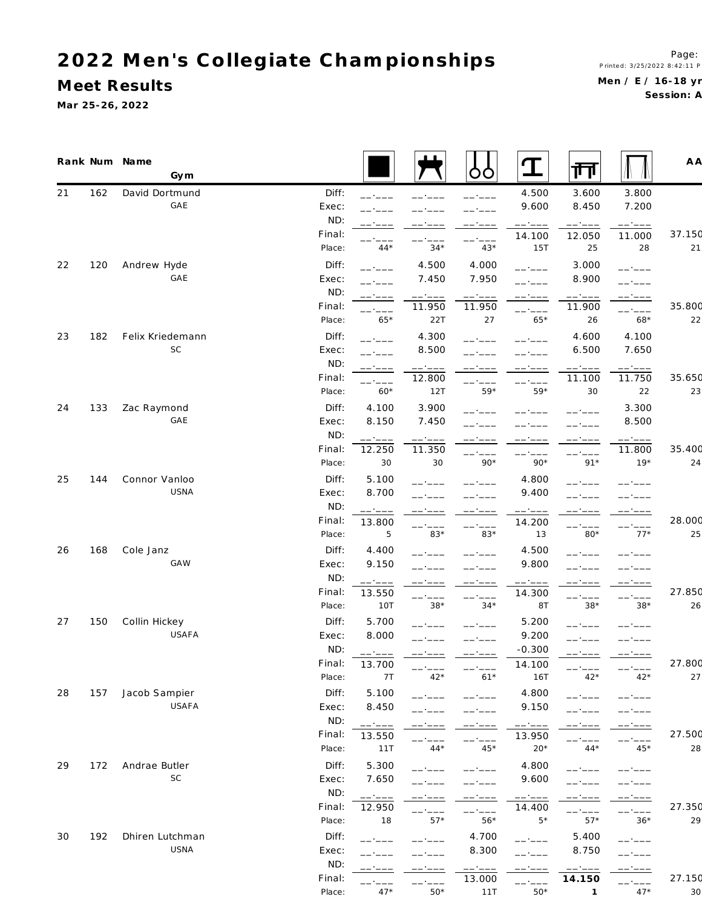**M eet Results**

**Ma r 25-26, 2022**

|    |     | Rank Num Name<br>Gym |        |                                                                                                                                                                                                                                                                                                                                                                                                                                                                                              |                                                                                                                                                                                                                                                                                                                                                                                                                                                                                      | Ő                | I                       | गंग                    |                 | A A    |
|----|-----|----------------------|--------|----------------------------------------------------------------------------------------------------------------------------------------------------------------------------------------------------------------------------------------------------------------------------------------------------------------------------------------------------------------------------------------------------------------------------------------------------------------------------------------------|--------------------------------------------------------------------------------------------------------------------------------------------------------------------------------------------------------------------------------------------------------------------------------------------------------------------------------------------------------------------------------------------------------------------------------------------------------------------------------------|------------------|-------------------------|------------------------|-----------------|--------|
| 21 | 162 | David Dortmund       | Diff:  |                                                                                                                                                                                                                                                                                                                                                                                                                                                                                              |                                                                                                                                                                                                                                                                                                                                                                                                                                                                                      | ------           | 4.500                   | 3.600                  | 3.800           |        |
|    |     | GAE                  | Exec:  |                                                                                                                                                                                                                                                                                                                                                                                                                                                                                              |                                                                                                                                                                                                                                                                                                                                                                                                                                                                                      |                  | 9.600                   | 8.450                  | 7.200           |        |
|    |     |                      | ND:    |                                                                                                                                                                                                                                                                                                                                                                                                                                                                                              |                                                                                                                                                                                                                                                                                                                                                                                                                                                                                      |                  | ------                  | ------                 | ------          |        |
|    |     |                      | Final: |                                                                                                                                                                                                                                                                                                                                                                                                                                                                                              |                                                                                                                                                                                                                                                                                                                                                                                                                                                                                      | ------           | 14.100                  | 12.050                 | 11.000          | 37.150 |
|    |     |                      | Place: | $44*$                                                                                                                                                                                                                                                                                                                                                                                                                                                                                        | $34*$                                                                                                                                                                                                                                                                                                                                                                                                                                                                                | $43*$            | 15T                     | 25                     | 28              | 21     |
| 22 | 120 | Andrew Hyde          | Diff:  | -- ----                                                                                                                                                                                                                                                                                                                                                                                                                                                                                      | 4.500                                                                                                                                                                                                                                                                                                                                                                                                                                                                                | 4.000            | ------                  | 3.000                  | ------          |        |
|    |     | GAE                  | Exec:  | ------                                                                                                                                                                                                                                                                                                                                                                                                                                                                                       | 7.450                                                                                                                                                                                                                                                                                                                                                                                                                                                                                | 7.950            | ------                  | 8.900                  | - ----          |        |
|    |     |                      | ND:    | ------                                                                                                                                                                                                                                                                                                                                                                                                                                                                                       | ------                                                                                                                                                                                                                                                                                                                                                                                                                                                                               | ------           | -- ----                 | ------                 | -- ----         |        |
|    |     |                      | Final: |                                                                                                                                                                                                                                                                                                                                                                                                                                                                                              | 11.950                                                                                                                                                                                                                                                                                                                                                                                                                                                                               | 11.950           | ------                  | 11.900                 | ------          | 35.800 |
|    |     |                      | Place: | $65*$                                                                                                                                                                                                                                                                                                                                                                                                                                                                                        | 22T                                                                                                                                                                                                                                                                                                                                                                                                                                                                                  | 27               | $65*$                   | 26                     | $68*$           | 22     |
| 23 | 182 | Felix Kriedemann     | Diff:  | $   -$                                                                                                                                                                                                                                                                                                                                                                                                                                                                                       | 4.300                                                                                                                                                                                                                                                                                                                                                                                                                                                                                |                  |                         | 4.600                  | 4.100           |        |
|    |     | $\mathsf{SC}$        | Exec:  |                                                                                                                                                                                                                                                                                                                                                                                                                                                                                              | 8.500                                                                                                                                                                                                                                                                                                                                                                                                                                                                                |                  |                         | 6.500                  | 7.650           |        |
|    |     |                      | ND:    | -----                                                                                                                                                                                                                                                                                                                                                                                                                                                                                        | $\begin{tabular}{cccccc} \multicolumn{2}{c}{} & \multicolumn{2}{c}{} & \multicolumn{2}{c}{} & \multicolumn{2}{c}{} & \multicolumn{2}{c}{} & \multicolumn{2}{c}{} & \multicolumn{2}{c}{} & \multicolumn{2}{c}{} & \multicolumn{2}{c}{} & \multicolumn{2}{c}{} & \multicolumn{2}{c}{} & \multicolumn{2}{c}{} & \multicolumn{2}{c}{} & \multicolumn{2}{c}{} & \multicolumn{2}{c}{} & \multicolumn{2}{c}{} & \multicolumn{2}{c}{} & \multicolumn{2}{c}{} & \multicolumn{2}{c}{} & \mult$ |                  |                         | ------                 |                 |        |
|    |     |                      | Final: | $   -$                                                                                                                                                                                                                                                                                                                                                                                                                                                                                       | 12.800                                                                                                                                                                                                                                                                                                                                                                                                                                                                               |                  | ------                  | 11.100                 | 11.750          | 35.650 |
|    |     |                      | Place: | $60*$                                                                                                                                                                                                                                                                                                                                                                                                                                                                                        | 12T                                                                                                                                                                                                                                                                                                                                                                                                                                                                                  | $59*$            | $59*$                   | 30                     | 22              | 23     |
| 24 | 133 | Zac Raymond          | Diff:  | 4.100                                                                                                                                                                                                                                                                                                                                                                                                                                                                                        | 3.900                                                                                                                                                                                                                                                                                                                                                                                                                                                                                |                  |                         |                        | 3.300           |        |
|    |     | GAE                  | Exec:  | 8.150                                                                                                                                                                                                                                                                                                                                                                                                                                                                                        | 7.450                                                                                                                                                                                                                                                                                                                                                                                                                                                                                |                  |                         |                        | 8.500           |        |
|    |     |                      | ND:    | ------                                                                                                                                                                                                                                                                                                                                                                                                                                                                                       | ------                                                                                                                                                                                                                                                                                                                                                                                                                                                                               |                  |                         |                        | ------          |        |
|    |     |                      | Final: | 12.250                                                                                                                                                                                                                                                                                                                                                                                                                                                                                       | 11.350                                                                                                                                                                                                                                                                                                                                                                                                                                                                               |                  |                         | ------                 | 11.800          | 35.400 |
|    |     |                      | Place: | 30                                                                                                                                                                                                                                                                                                                                                                                                                                                                                           | 30                                                                                                                                                                                                                                                                                                                                                                                                                                                                                   | $90*$            | $90*$                   | $91*$                  | $19*$           | 24     |
| 25 | 144 | Connor Vanloo        | Diff:  | 5.100                                                                                                                                                                                                                                                                                                                                                                                                                                                                                        |                                                                                                                                                                                                                                                                                                                                                                                                                                                                                      |                  | 4.800                   |                        |                 |        |
|    |     | USNA                 | Exec:  | 8.700                                                                                                                                                                                                                                                                                                                                                                                                                                                                                        |                                                                                                                                                                                                                                                                                                                                                                                                                                                                                      |                  | 9.400                   |                        |                 |        |
|    |     |                      | ND:    | ------                                                                                                                                                                                                                                                                                                                                                                                                                                                                                       |                                                                                                                                                                                                                                                                                                                                                                                                                                                                                      |                  |                         |                        |                 |        |
|    |     |                      | Final: | 13.800                                                                                                                                                                                                                                                                                                                                                                                                                                                                                       | ------                                                                                                                                                                                                                                                                                                                                                                                                                                                                               | ------           | 14.200                  | ------                 | ------          | 28.000 |
|    |     |                      | Place: | $\sqrt{5}$                                                                                                                                                                                                                                                                                                                                                                                                                                                                                   | $83*$                                                                                                                                                                                                                                                                                                                                                                                                                                                                                | 83*              | 13                      | $80*$                  | $77*$           | 25     |
| 26 | 168 | Cole Janz            | Diff:  | 4.400                                                                                                                                                                                                                                                                                                                                                                                                                                                                                        |                                                                                                                                                                                                                                                                                                                                                                                                                                                                                      |                  | 4.500                   |                        |                 |        |
|    |     | <b>GAW</b>           | Exec:  | 9.150                                                                                                                                                                                                                                                                                                                                                                                                                                                                                        |                                                                                                                                                                                                                                                                                                                                                                                                                                                                                      |                  | 9.800                   |                        |                 |        |
|    |     |                      | ND:    | $\begin{tabular}{ll} \multicolumn{2}{c} {\textbf{1}} & \multicolumn{2}{c} {\textbf{2}} & \multicolumn{2}{c} {\textbf{3}} & \multicolumn{2}{c} {\textbf{4}} & \multicolumn{2}{c} {\textbf{5}} & \multicolumn{2}{c} {\textbf{6}} & \multicolumn{2}{c} {\textbf{7}} & \multicolumn{2}{c} {\textbf{8}} & \multicolumn{2}{c} {\textbf{9}} & \multicolumn{2}{c} {\textbf{1}} & \multicolumn{2}{c} {\textbf{1}} & \multicolumn{2}{c} {\textbf{1}} & \multicolumn{2}{c} {\textbf{1}} & \multicolumn$ | ------                                                                                                                                                                                                                                                                                                                                                                                                                                                                               | ------           | ------                  | ------                 | ------          |        |
|    |     |                      | Final: | 13.550                                                                                                                                                                                                                                                                                                                                                                                                                                                                                       |                                                                                                                                                                                                                                                                                                                                                                                                                                                                                      |                  | 14.300                  | ------                 |                 | 27.850 |
|    |     |                      | Place: | 10T                                                                                                                                                                                                                                                                                                                                                                                                                                                                                          | ------<br>$38*$                                                                                                                                                                                                                                                                                                                                                                                                                                                                      | ------<br>$34*$  | 8T                      | $38*$                  | ------<br>$38*$ | 26     |
| 27 | 150 | Collin Hickey        | Diff:  | 5.700                                                                                                                                                                                                                                                                                                                                                                                                                                                                                        |                                                                                                                                                                                                                                                                                                                                                                                                                                                                                      |                  | 5.200                   |                        |                 |        |
|    |     | USAFA                | Exec:  | 8.000                                                                                                                                                                                                                                                                                                                                                                                                                                                                                        |                                                                                                                                                                                                                                                                                                                                                                                                                                                                                      |                  | 9.200                   |                        |                 |        |
|    |     |                      | ND:    | ------                                                                                                                                                                                                                                                                                                                                                                                                                                                                                       | -- ----                                                                                                                                                                                                                                                                                                                                                                                                                                                                              | ------           | $-0.300$                | -- ----                |                 |        |
|    |     |                      | Final: | 13.700                                                                                                                                                                                                                                                                                                                                                                                                                                                                                       |                                                                                                                                                                                                                                                                                                                                                                                                                                                                                      |                  | 14.100                  |                        |                 | 27.800 |
|    |     |                      | Place: | 7T                                                                                                                                                                                                                                                                                                                                                                                                                                                                                           | $42*$                                                                                                                                                                                                                                                                                                                                                                                                                                                                                | $61*$            | 16T                     | $42*$                  | $42*$           | 27     |
| 28 | 157 | Jacob Sampier        | Diff:  | 5.100                                                                                                                                                                                                                                                                                                                                                                                                                                                                                        |                                                                                                                                                                                                                                                                                                                                                                                                                                                                                      |                  | 4.800                   | - - - - -              |                 |        |
|    |     | USAFA                | Exec:  | 8.450                                                                                                                                                                                                                                                                                                                                                                                                                                                                                        | - ----                                                                                                                                                                                                                                                                                                                                                                                                                                                                               |                  | 9.150                   |                        |                 |        |
|    |     |                      | ND:    | ------                                                                                                                                                                                                                                                                                                                                                                                                                                                                                       |                                                                                                                                                                                                                                                                                                                                                                                                                                                                                      |                  |                         |                        |                 |        |
|    |     |                      | Final: | 13.550                                                                                                                                                                                                                                                                                                                                                                                                                                                                                       |                                                                                                                                                                                                                                                                                                                                                                                                                                                                                      |                  | ------<br>13.950        |                        |                 | 27.500 |
|    |     |                      | Place: | 11T                                                                                                                                                                                                                                                                                                                                                                                                                                                                                          | $44*$                                                                                                                                                                                                                                                                                                                                                                                                                                                                                | ------<br>$45*$  | $20*$                   | ------<br>$44*$        | ------<br>$45*$ | 28     |
| 29 | 172 | Andrae Butler        | Diff:  | 5.300                                                                                                                                                                                                                                                                                                                                                                                                                                                                                        |                                                                                                                                                                                                                                                                                                                                                                                                                                                                                      |                  | 4.800                   |                        |                 |        |
|    |     | SC                   | Exec:  | 7.650                                                                                                                                                                                                                                                                                                                                                                                                                                                                                        | ------                                                                                                                                                                                                                                                                                                                                                                                                                                                                               | ------           | 9.600                   | ------                 | ------          |        |
|    |     |                      | ND:    |                                                                                                                                                                                                                                                                                                                                                                                                                                                                                              | ------<br>------                                                                                                                                                                                                                                                                                                                                                                                                                                                                     | ------           |                         | ------<br>-- ----      | ------          |        |
|    |     |                      | Final: | ------<br>12.950                                                                                                                                                                                                                                                                                                                                                                                                                                                                             |                                                                                                                                                                                                                                                                                                                                                                                                                                                                                      | ------           | $--- - - - -$<br>14.400 |                        | ------          | 27.350 |
|    |     |                      | Place: | 18                                                                                                                                                                                                                                                                                                                                                                                                                                                                                           | ------<br>$57*$                                                                                                                                                                                                                                                                                                                                                                                                                                                                      | ------<br>$56*$  | $5*$                    | $--- - - - -$<br>$57*$ | ------<br>$36*$ | 29     |
| 30 | 192 | Dhiren Lutchman      | Diff:  |                                                                                                                                                                                                                                                                                                                                                                                                                                                                                              |                                                                                                                                                                                                                                                                                                                                                                                                                                                                                      | 4.700            |                         | 5.400                  |                 |        |
|    |     | USNA                 | Exec:  | - - - - -                                                                                                                                                                                                                                                                                                                                                                                                                                                                                    |                                                                                                                                                                                                                                                                                                                                                                                                                                                                                      | 8.300            | ------                  | 8.750                  | ------          |        |
|    |     |                      | ND:    |                                                                                                                                                                                                                                                                                                                                                                                                                                                                                              | -- ----                                                                                                                                                                                                                                                                                                                                                                                                                                                                              |                  | ------                  |                        | ------          |        |
|    |     |                      | Final: |                                                                                                                                                                                                                                                                                                                                                                                                                                                                                              |                                                                                                                                                                                                                                                                                                                                                                                                                                                                                      | ------<br>13.000 |                         | ------<br>14.150       | ------          | 27.150 |
|    |     |                      | Place: | $  -$<br>$47*$                                                                                                                                                                                                                                                                                                                                                                                                                                                                               | ------<br>$50*$                                                                                                                                                                                                                                                                                                                                                                                                                                                                      | 11T              | ------<br>$50*$         | $\mathbf{1}$           | $----$<br>$47*$ | 30     |
|    |     |                      |        |                                                                                                                                                                                                                                                                                                                                                                                                                                                                                              |                                                                                                                                                                                                                                                                                                                                                                                                                                                                                      |                  |                         |                        |                 |        |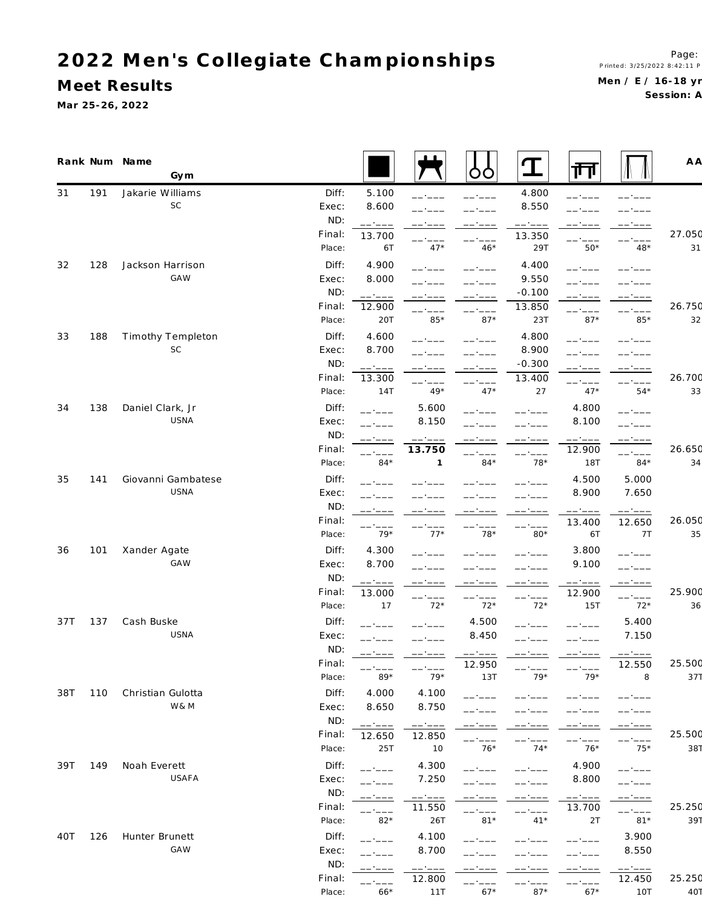# 2022 Men's Collegiate Championships

Meet Results

Mar 25-26, 2022

Session: A

|     |     | Rank Num Name<br>Gym    |                  |                                                                                                                                                                                                                                                                                                                                                                                                                                                                                              |                  | ბბ              | $\mathbf T$     | गा               |                 | A A          |
|-----|-----|-------------------------|------------------|----------------------------------------------------------------------------------------------------------------------------------------------------------------------------------------------------------------------------------------------------------------------------------------------------------------------------------------------------------------------------------------------------------------------------------------------------------------------------------------------|------------------|-----------------|-----------------|------------------|-----------------|--------------|
| 31  | 191 | Jakarie Williams        | Diff:            | 5.100                                                                                                                                                                                                                                                                                                                                                                                                                                                                                        | $--- - - -$      | ------          | 4.800           | ------           |                 |              |
|     |     | SC                      | Exec:            | 8.600                                                                                                                                                                                                                                                                                                                                                                                                                                                                                        |                  |                 | 8.550           | - ----           |                 |              |
|     |     |                         | ND:              | ------                                                                                                                                                                                                                                                                                                                                                                                                                                                                                       | -- ----          |                 | ------          |                  |                 |              |
|     |     |                         | Final:           | 13.700                                                                                                                                                                                                                                                                                                                                                                                                                                                                                       | -- ----          | ------          | 13.350          |                  |                 | 27.050       |
|     |     |                         | Place:           | 6T                                                                                                                                                                                                                                                                                                                                                                                                                                                                                           | $47*$            | $46*$           | 29T             | $50*$            | $48*$           | 31           |
| 32  | 128 | Jackson Harrison        | Diff:            | 4.900                                                                                                                                                                                                                                                                                                                                                                                                                                                                                        | ------           |                 | 4.400           | - - - - -        |                 |              |
|     |     | GAW                     | Exec:            | 8.000                                                                                                                                                                                                                                                                                                                                                                                                                                                                                        |                  |                 | 9.550           |                  |                 |              |
|     |     |                         | ND:              | $\begin{tabular}{ll} \multicolumn{2}{c} {\textbf{1}} & \multicolumn{2}{c} {\textbf{2}} & \multicolumn{2}{c} {\textbf{3}} & \multicolumn{2}{c} {\textbf{4}} & \multicolumn{2}{c} {\textbf{5}} & \multicolumn{2}{c} {\textbf{6}} & \multicolumn{2}{c} {\textbf{7}} & \multicolumn{2}{c} {\textbf{8}} & \multicolumn{2}{c} {\textbf{9}} & \multicolumn{2}{c} {\textbf{1}} & \multicolumn{2}{c} {\textbf{1}} & \multicolumn{2}{c} {\textbf{1}} & \multicolumn{2}{c} {\textbf{1}} & \multicolumn$ |                  | ------          | $-0.100$        |                  | -- ----         |              |
|     |     |                         | Final:<br>Place: | 12.900<br>20T                                                                                                                                                                                                                                                                                                                                                                                                                                                                                | ------<br>$85*$  | ------<br>$87*$ | 13.850<br>23T   | ------<br>$87*$  | ------<br>$85*$ | 26.750<br>32 |
|     |     |                         |                  |                                                                                                                                                                                                                                                                                                                                                                                                                                                                                              |                  |                 |                 |                  |                 |              |
| 33  | 188 | Timothy Templeton<br>SC | Diff:<br>Exec:   | 4.600<br>8.700                                                                                                                                                                                                                                                                                                                                                                                                                                                                               | ------           |                 | 4.800<br>8.900  | -- ----          |                 |              |
|     |     |                         | ND:              |                                                                                                                                                                                                                                                                                                                                                                                                                                                                                              | -- ----          |                 | $-0.300$        |                  |                 |              |
|     |     |                         | Final:           | ------<br>13.300                                                                                                                                                                                                                                                                                                                                                                                                                                                                             | ------           | ------          | 13.400          | -- ----          |                 | 26.700       |
|     |     |                         | Place:           | 14T                                                                                                                                                                                                                                                                                                                                                                                                                                                                                          | ------<br>$49*$  | ------<br>$47*$ | 27              | ------<br>$47*$  | ------<br>$54*$ | 33           |
| 34  | 138 | Daniel Clark, Jr        | Diff:            |                                                                                                                                                                                                                                                                                                                                                                                                                                                                                              | 5.600            |                 |                 | 4.800            |                 |              |
|     |     | USNA                    | Exec:            | ------                                                                                                                                                                                                                                                                                                                                                                                                                                                                                       | 8.150            | - - - - -       | ------          | 8.100            | ------          |              |
|     |     |                         | ND:              | ------                                                                                                                                                                                                                                                                                                                                                                                                                                                                                       | ------           | ------          | ------          | ------           | ------          |              |
|     |     |                         | Final:           | ------                                                                                                                                                                                                                                                                                                                                                                                                                                                                                       | 13.750           | $--- - - -$     | ------          | 12.900           | ------          | 26.650       |
|     |     |                         | Place:           | $84*$                                                                                                                                                                                                                                                                                                                                                                                                                                                                                        | $\mathbf{1}$     | $84*$           | $78*$           | 18T              | $84*$           | 34           |
| 35  | 141 | Giovanni Gambatese      | Diff:            |                                                                                                                                                                                                                                                                                                                                                                                                                                                                                              |                  |                 |                 | 4.500            | 5.000           |              |
|     |     | USNA                    | Exec:            |                                                                                                                                                                                                                                                                                                                                                                                                                                                                                              |                  |                 |                 | 8.900            | 7.650           |              |
|     |     |                         | ND:              | ------                                                                                                                                                                                                                                                                                                                                                                                                                                                                                       |                  |                 |                 | ------           | ------          |              |
|     |     |                         | Final:           | ------                                                                                                                                                                                                                                                                                                                                                                                                                                                                                       |                  |                 | ------          | 13.400           | 12.650          | 26.050       |
|     |     |                         | Place:           | $79*$                                                                                                                                                                                                                                                                                                                                                                                                                                                                                        | $77*$            | $78*$           | $80*$           | 6T               | 7T              | 35           |
| 36  | 101 | Xander Agate            | Diff:            | 4.300                                                                                                                                                                                                                                                                                                                                                                                                                                                                                        |                  |                 |                 | 3.800            | ------          |              |
|     |     | GAW                     | Exec:            | 8.700                                                                                                                                                                                                                                                                                                                                                                                                                                                                                        |                  |                 |                 | 9.100            | -- ----         |              |
|     |     |                         | ND:              | ------                                                                                                                                                                                                                                                                                                                                                                                                                                                                                       | ------           | ------          | ------          | $--- - - - -$    | ------          |              |
|     |     |                         | Final:           | 13.000                                                                                                                                                                                                                                                                                                                                                                                                                                                                                       | ------           | ------          | ------          | 12.900           | ------          | 25.900       |
|     |     |                         | Place:           | 17                                                                                                                                                                                                                                                                                                                                                                                                                                                                                           | $72*$            | $72*$           | $72*$           | 15T              | $72*$           | 36           |
| 37T | 137 | Cash Buske              | Diff:            |                                                                                                                                                                                                                                                                                                                                                                                                                                                                                              |                  | 4.500           |                 |                  | 5.400           |              |
|     |     | USNA                    | Exec:            | $--- - - -$                                                                                                                                                                                                                                                                                                                                                                                                                                                                                  |                  | 8.450           | - ----          | ------           | 7.150           |              |
|     |     |                         | ND:              |                                                                                                                                                                                                                                                                                                                                                                                                                                                                                              |                  | - - - - -       |                 |                  |                 | 25.500       |
|     |     |                         | Final:<br>Place: | ------<br>$89*$                                                                                                                                                                                                                                                                                                                                                                                                                                                                              | $----$<br>$79*$  | 12.950<br>13T   | ------<br>$79*$ | ------<br>$79*$  | 12.550<br>8     | 371          |
| 38T | 110 | Christian Gulotta       | Diff:            | 4.000                                                                                                                                                                                                                                                                                                                                                                                                                                                                                        | 4.100            |                 |                 |                  |                 |              |
|     |     | W& M                    | Exec:            | 8.650                                                                                                                                                                                                                                                                                                                                                                                                                                                                                        | 8.750            | ------          |                 |                  |                 |              |
|     |     |                         | ND:              |                                                                                                                                                                                                                                                                                                                                                                                                                                                                                              |                  |                 |                 |                  |                 |              |
|     |     |                         | Final:           | ------<br>12.650                                                                                                                                                                                                                                                                                                                                                                                                                                                                             | ------<br>12.850 | -----           |                 |                  |                 | 25.500       |
|     |     |                         | Place:           | 25T                                                                                                                                                                                                                                                                                                                                                                                                                                                                                          | 10               | $76*$           | $74*$           | -- ----<br>$76*$ | $75*$           | 387          |
| 39T | 149 | Noah Everett            | Diff:            | ------                                                                                                                                                                                                                                                                                                                                                                                                                                                                                       | 4.300            | ------          |                 | 4.900            |                 |              |
|     |     | USAFA                   | Exec:            | ------                                                                                                                                                                                                                                                                                                                                                                                                                                                                                       | 7.250            | - - - - -       |                 | 8.800            |                 |              |
|     |     |                         | ND:              |                                                                                                                                                                                                                                                                                                                                                                                                                                                                                              | ------           |                 |                 | ------           |                 |              |
|     |     |                         | Final:           | ------                                                                                                                                                                                                                                                                                                                                                                                                                                                                                       | 11.550           |                 | ------          | 13.700           | ------          | 25.250       |
|     |     |                         | Place:           | $82*$                                                                                                                                                                                                                                                                                                                                                                                                                                                                                        | 26T              | $81*$           | $41*$           | 2T               | $81*$           | 397          |
| 40T | 126 | Hunter Brunett          | Diff:            | ------                                                                                                                                                                                                                                                                                                                                                                                                                                                                                       | 4.100            | $   -$          |                 |                  | 3.900           |              |
|     |     | GAW                     | Exec:            | $-$ - $ -$                                                                                                                                                                                                                                                                                                                                                                                                                                                                                   | 8.700            |                 |                 |                  | 8.550           |              |
|     |     |                         | ND:              | - ----                                                                                                                                                                                                                                                                                                                                                                                                                                                                                       | ------           |                 |                 | - ----           | $--- - - - -$   |              |
|     |     |                         | Final:           | - - - - -                                                                                                                                                                                                                                                                                                                                                                                                                                                                                    | 12.800           | -----           |                 | ------           | 12.450          | 25.250       |
|     |     |                         | Place:           | $66*$                                                                                                                                                                                                                                                                                                                                                                                                                                                                                        | 11T              | $67*$           | $87*$           | $67*$            | 10T             | 407          |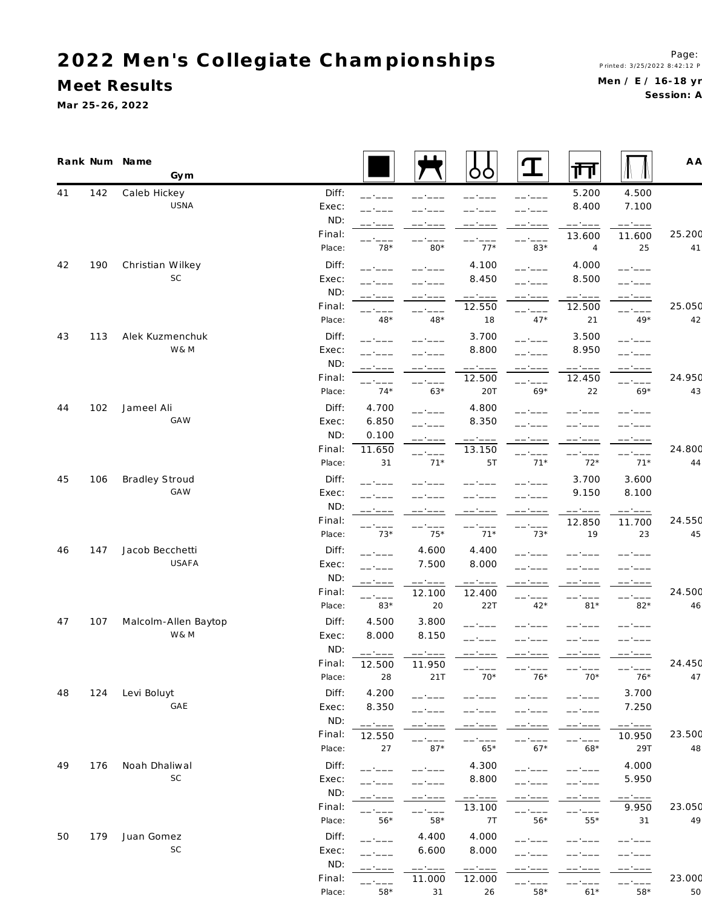**M eet Results**

**Ma r 25-26, 2022**

| 41<br>142<br>Caleb Hickey<br>Diff:<br>5.200<br>4.500<br>USNA<br>8.400<br>7.100<br>Exec:<br>ND:<br>------<br>------<br>Final:<br>13.600<br>11.600<br>$78*$<br>$80*$<br>$77*$<br>83*<br>$\overline{4}$<br>Place:<br>25<br>Christian Wilkey<br>190<br>Diff:<br>4.100<br>4.000<br>. <u>.</u><br>------<br>SC<br>Exec:<br>8.450<br>8.500<br>ND:<br>------<br>$\begin{tabular}{cccccc} \multicolumn{2}{c}{} & \multicolumn{2}{c}{} & \multicolumn{2}{c}{} & \multicolumn{2}{c}{} & \multicolumn{2}{c}{} & \multicolumn{2}{c}{} & \multicolumn{2}{c}{} & \multicolumn{2}{c}{} & \multicolumn{2}{c}{} & \multicolumn{2}{c}{} & \multicolumn{2}{c}{} & \multicolumn{2}{c}{} & \multicolumn{2}{c}{} & \multicolumn{2}{c}{} & \multicolumn{2}{c}{} & \multicolumn{2}{c}{} & \multicolumn{2}{c}{} & \multicolumn{2}{c}{} & \multicolumn{2}{c}{} & \mult$<br>------<br>------<br>------<br>-- ----<br>Final:<br>12.550<br>12.500<br>$48*$<br>$47*$<br>Place:<br>$48*$<br>18<br>21<br>$49*$<br>Alek Kuzmenchuk<br>Diff:<br>3.700<br>3.500<br>43<br>113<br>بناء بالمساحين<br>$   -$<br>W& M<br>8.800<br>8.950<br>Exec:<br>ND:<br>------<br>------<br>Final:<br>12.500<br>12.450<br>$-$<br>$74*$<br>$63*$<br>$69*$<br>Place:<br>20T<br>22<br>$69*$<br>Jameel Ali<br>Diff:<br>4.700<br>4.800<br>44<br>102<br><b>GAW</b><br>6.850<br>8.350<br>Exec:<br>ND:<br>0.100<br>------<br>Final:<br>11.650<br>13.150<br>------<br>------<br>------<br>------<br>31<br>$71*$<br>$71*$<br>$72*$<br>$71*$<br>Place:<br>5T<br>Bradley Stroud<br>Diff:<br>106<br>3.700<br>3.600<br>45<br>GAW<br>9.150<br>Exec:<br>8.100<br>ND:<br>------<br>------<br>------<br>-- -- -<br>Final:<br>12.850<br>11.700<br>------<br>$73*$<br>$75*$<br>$71*$<br>$73*$<br>Place:<br>19<br>23<br>147<br>Jacob Becchetti<br>Diff:<br>4.600<br>4.400<br>46<br>$   -$<br>USAFA<br>7.500<br>8.000<br>Exec:<br>ND:<br>------<br>------<br>------<br>-- ----<br>-- ----<br>Final:<br>12.100<br>12.400<br>------<br>-- ----<br>83*<br>20<br>Place:<br>22T<br>$42*$<br>$81*$<br>$82*$<br>Malcolm-Allen Baytop<br>Diff:<br>4.500<br>47<br>107<br>3.800<br>W& M<br>8.000<br>8.150<br>Exec:<br>ND:<br>------<br>------<br>Final:<br>12.500<br>11.950<br>-- ----<br>$70*$<br>$76*$<br>$70*$<br>$76*$<br>Place:<br>28<br>21T<br>4.200<br>3.700<br>48<br>124<br>Levi Boluyt<br>Diff:<br>$---$<br>- ----<br>GAE<br>8.350<br>7.250<br>Exec:<br>ND:<br>------<br>Final:<br>12.550<br>10.950<br>------<br>29T<br>Place:<br>$87*$<br>$65*$<br>$67*$<br>$68*$<br>27<br>49<br>Noah Dhaliwal<br>Diff:<br>4.300<br>4.000<br>176<br>- - - - -<br>-----<br>SC<br>8.800<br>5.950<br>Exec:<br>ND:<br>------<br>Final:<br>9.950<br>13.100<br>------<br>- ----<br>-- ----<br>------<br>$56*$<br>$58*$<br>$56*$<br>$55*$<br>Place:<br>7 T<br>31<br>Juan Gomez<br>Diff:<br>4.400<br>50<br>179<br>4.000 |  | Rank Num Name<br>Gym |  | ŌŌ    | $\mathbf T$ | 帀 | A A    |
|---------------------------------------------------------------------------------------------------------------------------------------------------------------------------------------------------------------------------------------------------------------------------------------------------------------------------------------------------------------------------------------------------------------------------------------------------------------------------------------------------------------------------------------------------------------------------------------------------------------------------------------------------------------------------------------------------------------------------------------------------------------------------------------------------------------------------------------------------------------------------------------------------------------------------------------------------------------------------------------------------------------------------------------------------------------------------------------------------------------------------------------------------------------------------------------------------------------------------------------------------------------------------------------------------------------------------------------------------------------------------------------------------------------------------------------------------------------------------------------------------------------------------------------------------------------------------------------------------------------------------------------------------------------------------------------------------------------------------------------------------------------------------------------------------------------------------------------------------------------------------------------------------------------------------------------------------------------------------------------------------------------------------------------------------------------------------------------------------------------------------------------------------------------------------------------------------------------------------------------------------------------------------------------------------------------------------------------------------------------------------------------------------------------------------------------------------------------------------------------------------------------------------------------------------------------------------------------------------------------------------------------------------------------------------------------------------------------------------------------------------------------------------------------------------------------------|--|----------------------|--|-------|-------------|---|--------|
| 42                                                                                                                                                                                                                                                                                                                                                                                                                                                                                                                                                                                                                                                                                                                                                                                                                                                                                                                                                                                                                                                                                                                                                                                                                                                                                                                                                                                                                                                                                                                                                                                                                                                                                                                                                                                                                                                                                                                                                                                                                                                                                                                                                                                                                                                                                                                                                                                                                                                                                                                                                                                                                                                                                                                                                                                                                  |  |                      |  |       |             |   |        |
|                                                                                                                                                                                                                                                                                                                                                                                                                                                                                                                                                                                                                                                                                                                                                                                                                                                                                                                                                                                                                                                                                                                                                                                                                                                                                                                                                                                                                                                                                                                                                                                                                                                                                                                                                                                                                                                                                                                                                                                                                                                                                                                                                                                                                                                                                                                                                                                                                                                                                                                                                                                                                                                                                                                                                                                                                     |  |                      |  |       |             |   |        |
|                                                                                                                                                                                                                                                                                                                                                                                                                                                                                                                                                                                                                                                                                                                                                                                                                                                                                                                                                                                                                                                                                                                                                                                                                                                                                                                                                                                                                                                                                                                                                                                                                                                                                                                                                                                                                                                                                                                                                                                                                                                                                                                                                                                                                                                                                                                                                                                                                                                                                                                                                                                                                                                                                                                                                                                                                     |  |                      |  |       |             |   |        |
|                                                                                                                                                                                                                                                                                                                                                                                                                                                                                                                                                                                                                                                                                                                                                                                                                                                                                                                                                                                                                                                                                                                                                                                                                                                                                                                                                                                                                                                                                                                                                                                                                                                                                                                                                                                                                                                                                                                                                                                                                                                                                                                                                                                                                                                                                                                                                                                                                                                                                                                                                                                                                                                                                                                                                                                                                     |  |                      |  |       |             |   | 25.200 |
|                                                                                                                                                                                                                                                                                                                                                                                                                                                                                                                                                                                                                                                                                                                                                                                                                                                                                                                                                                                                                                                                                                                                                                                                                                                                                                                                                                                                                                                                                                                                                                                                                                                                                                                                                                                                                                                                                                                                                                                                                                                                                                                                                                                                                                                                                                                                                                                                                                                                                                                                                                                                                                                                                                                                                                                                                     |  |                      |  |       |             |   | 41     |
|                                                                                                                                                                                                                                                                                                                                                                                                                                                                                                                                                                                                                                                                                                                                                                                                                                                                                                                                                                                                                                                                                                                                                                                                                                                                                                                                                                                                                                                                                                                                                                                                                                                                                                                                                                                                                                                                                                                                                                                                                                                                                                                                                                                                                                                                                                                                                                                                                                                                                                                                                                                                                                                                                                                                                                                                                     |  |                      |  |       |             |   |        |
|                                                                                                                                                                                                                                                                                                                                                                                                                                                                                                                                                                                                                                                                                                                                                                                                                                                                                                                                                                                                                                                                                                                                                                                                                                                                                                                                                                                                                                                                                                                                                                                                                                                                                                                                                                                                                                                                                                                                                                                                                                                                                                                                                                                                                                                                                                                                                                                                                                                                                                                                                                                                                                                                                                                                                                                                                     |  |                      |  |       |             |   |        |
|                                                                                                                                                                                                                                                                                                                                                                                                                                                                                                                                                                                                                                                                                                                                                                                                                                                                                                                                                                                                                                                                                                                                                                                                                                                                                                                                                                                                                                                                                                                                                                                                                                                                                                                                                                                                                                                                                                                                                                                                                                                                                                                                                                                                                                                                                                                                                                                                                                                                                                                                                                                                                                                                                                                                                                                                                     |  |                      |  |       |             |   |        |
|                                                                                                                                                                                                                                                                                                                                                                                                                                                                                                                                                                                                                                                                                                                                                                                                                                                                                                                                                                                                                                                                                                                                                                                                                                                                                                                                                                                                                                                                                                                                                                                                                                                                                                                                                                                                                                                                                                                                                                                                                                                                                                                                                                                                                                                                                                                                                                                                                                                                                                                                                                                                                                                                                                                                                                                                                     |  |                      |  |       |             |   | 25.050 |
|                                                                                                                                                                                                                                                                                                                                                                                                                                                                                                                                                                                                                                                                                                                                                                                                                                                                                                                                                                                                                                                                                                                                                                                                                                                                                                                                                                                                                                                                                                                                                                                                                                                                                                                                                                                                                                                                                                                                                                                                                                                                                                                                                                                                                                                                                                                                                                                                                                                                                                                                                                                                                                                                                                                                                                                                                     |  |                      |  |       |             |   | 42     |
|                                                                                                                                                                                                                                                                                                                                                                                                                                                                                                                                                                                                                                                                                                                                                                                                                                                                                                                                                                                                                                                                                                                                                                                                                                                                                                                                                                                                                                                                                                                                                                                                                                                                                                                                                                                                                                                                                                                                                                                                                                                                                                                                                                                                                                                                                                                                                                                                                                                                                                                                                                                                                                                                                                                                                                                                                     |  |                      |  |       |             |   |        |
|                                                                                                                                                                                                                                                                                                                                                                                                                                                                                                                                                                                                                                                                                                                                                                                                                                                                                                                                                                                                                                                                                                                                                                                                                                                                                                                                                                                                                                                                                                                                                                                                                                                                                                                                                                                                                                                                                                                                                                                                                                                                                                                                                                                                                                                                                                                                                                                                                                                                                                                                                                                                                                                                                                                                                                                                                     |  |                      |  |       |             |   |        |
|                                                                                                                                                                                                                                                                                                                                                                                                                                                                                                                                                                                                                                                                                                                                                                                                                                                                                                                                                                                                                                                                                                                                                                                                                                                                                                                                                                                                                                                                                                                                                                                                                                                                                                                                                                                                                                                                                                                                                                                                                                                                                                                                                                                                                                                                                                                                                                                                                                                                                                                                                                                                                                                                                                                                                                                                                     |  |                      |  |       |             |   |        |
|                                                                                                                                                                                                                                                                                                                                                                                                                                                                                                                                                                                                                                                                                                                                                                                                                                                                                                                                                                                                                                                                                                                                                                                                                                                                                                                                                                                                                                                                                                                                                                                                                                                                                                                                                                                                                                                                                                                                                                                                                                                                                                                                                                                                                                                                                                                                                                                                                                                                                                                                                                                                                                                                                                                                                                                                                     |  |                      |  |       |             |   | 24.950 |
|                                                                                                                                                                                                                                                                                                                                                                                                                                                                                                                                                                                                                                                                                                                                                                                                                                                                                                                                                                                                                                                                                                                                                                                                                                                                                                                                                                                                                                                                                                                                                                                                                                                                                                                                                                                                                                                                                                                                                                                                                                                                                                                                                                                                                                                                                                                                                                                                                                                                                                                                                                                                                                                                                                                                                                                                                     |  |                      |  |       |             |   | 43     |
|                                                                                                                                                                                                                                                                                                                                                                                                                                                                                                                                                                                                                                                                                                                                                                                                                                                                                                                                                                                                                                                                                                                                                                                                                                                                                                                                                                                                                                                                                                                                                                                                                                                                                                                                                                                                                                                                                                                                                                                                                                                                                                                                                                                                                                                                                                                                                                                                                                                                                                                                                                                                                                                                                                                                                                                                                     |  |                      |  |       |             |   |        |
|                                                                                                                                                                                                                                                                                                                                                                                                                                                                                                                                                                                                                                                                                                                                                                                                                                                                                                                                                                                                                                                                                                                                                                                                                                                                                                                                                                                                                                                                                                                                                                                                                                                                                                                                                                                                                                                                                                                                                                                                                                                                                                                                                                                                                                                                                                                                                                                                                                                                                                                                                                                                                                                                                                                                                                                                                     |  |                      |  |       |             |   |        |
|                                                                                                                                                                                                                                                                                                                                                                                                                                                                                                                                                                                                                                                                                                                                                                                                                                                                                                                                                                                                                                                                                                                                                                                                                                                                                                                                                                                                                                                                                                                                                                                                                                                                                                                                                                                                                                                                                                                                                                                                                                                                                                                                                                                                                                                                                                                                                                                                                                                                                                                                                                                                                                                                                                                                                                                                                     |  |                      |  |       |             |   |        |
|                                                                                                                                                                                                                                                                                                                                                                                                                                                                                                                                                                                                                                                                                                                                                                                                                                                                                                                                                                                                                                                                                                                                                                                                                                                                                                                                                                                                                                                                                                                                                                                                                                                                                                                                                                                                                                                                                                                                                                                                                                                                                                                                                                                                                                                                                                                                                                                                                                                                                                                                                                                                                                                                                                                                                                                                                     |  |                      |  |       |             |   | 24.800 |
|                                                                                                                                                                                                                                                                                                                                                                                                                                                                                                                                                                                                                                                                                                                                                                                                                                                                                                                                                                                                                                                                                                                                                                                                                                                                                                                                                                                                                                                                                                                                                                                                                                                                                                                                                                                                                                                                                                                                                                                                                                                                                                                                                                                                                                                                                                                                                                                                                                                                                                                                                                                                                                                                                                                                                                                                                     |  |                      |  |       |             |   | 44     |
|                                                                                                                                                                                                                                                                                                                                                                                                                                                                                                                                                                                                                                                                                                                                                                                                                                                                                                                                                                                                                                                                                                                                                                                                                                                                                                                                                                                                                                                                                                                                                                                                                                                                                                                                                                                                                                                                                                                                                                                                                                                                                                                                                                                                                                                                                                                                                                                                                                                                                                                                                                                                                                                                                                                                                                                                                     |  |                      |  |       |             |   |        |
|                                                                                                                                                                                                                                                                                                                                                                                                                                                                                                                                                                                                                                                                                                                                                                                                                                                                                                                                                                                                                                                                                                                                                                                                                                                                                                                                                                                                                                                                                                                                                                                                                                                                                                                                                                                                                                                                                                                                                                                                                                                                                                                                                                                                                                                                                                                                                                                                                                                                                                                                                                                                                                                                                                                                                                                                                     |  |                      |  |       |             |   |        |
|                                                                                                                                                                                                                                                                                                                                                                                                                                                                                                                                                                                                                                                                                                                                                                                                                                                                                                                                                                                                                                                                                                                                                                                                                                                                                                                                                                                                                                                                                                                                                                                                                                                                                                                                                                                                                                                                                                                                                                                                                                                                                                                                                                                                                                                                                                                                                                                                                                                                                                                                                                                                                                                                                                                                                                                                                     |  |                      |  |       |             |   |        |
|                                                                                                                                                                                                                                                                                                                                                                                                                                                                                                                                                                                                                                                                                                                                                                                                                                                                                                                                                                                                                                                                                                                                                                                                                                                                                                                                                                                                                                                                                                                                                                                                                                                                                                                                                                                                                                                                                                                                                                                                                                                                                                                                                                                                                                                                                                                                                                                                                                                                                                                                                                                                                                                                                                                                                                                                                     |  |                      |  |       |             |   | 24.550 |
|                                                                                                                                                                                                                                                                                                                                                                                                                                                                                                                                                                                                                                                                                                                                                                                                                                                                                                                                                                                                                                                                                                                                                                                                                                                                                                                                                                                                                                                                                                                                                                                                                                                                                                                                                                                                                                                                                                                                                                                                                                                                                                                                                                                                                                                                                                                                                                                                                                                                                                                                                                                                                                                                                                                                                                                                                     |  |                      |  |       |             |   | 45     |
|                                                                                                                                                                                                                                                                                                                                                                                                                                                                                                                                                                                                                                                                                                                                                                                                                                                                                                                                                                                                                                                                                                                                                                                                                                                                                                                                                                                                                                                                                                                                                                                                                                                                                                                                                                                                                                                                                                                                                                                                                                                                                                                                                                                                                                                                                                                                                                                                                                                                                                                                                                                                                                                                                                                                                                                                                     |  |                      |  |       |             |   |        |
|                                                                                                                                                                                                                                                                                                                                                                                                                                                                                                                                                                                                                                                                                                                                                                                                                                                                                                                                                                                                                                                                                                                                                                                                                                                                                                                                                                                                                                                                                                                                                                                                                                                                                                                                                                                                                                                                                                                                                                                                                                                                                                                                                                                                                                                                                                                                                                                                                                                                                                                                                                                                                                                                                                                                                                                                                     |  |                      |  |       |             |   |        |
|                                                                                                                                                                                                                                                                                                                                                                                                                                                                                                                                                                                                                                                                                                                                                                                                                                                                                                                                                                                                                                                                                                                                                                                                                                                                                                                                                                                                                                                                                                                                                                                                                                                                                                                                                                                                                                                                                                                                                                                                                                                                                                                                                                                                                                                                                                                                                                                                                                                                                                                                                                                                                                                                                                                                                                                                                     |  |                      |  |       |             |   | 24.500 |
|                                                                                                                                                                                                                                                                                                                                                                                                                                                                                                                                                                                                                                                                                                                                                                                                                                                                                                                                                                                                                                                                                                                                                                                                                                                                                                                                                                                                                                                                                                                                                                                                                                                                                                                                                                                                                                                                                                                                                                                                                                                                                                                                                                                                                                                                                                                                                                                                                                                                                                                                                                                                                                                                                                                                                                                                                     |  |                      |  |       |             |   | 46     |
|                                                                                                                                                                                                                                                                                                                                                                                                                                                                                                                                                                                                                                                                                                                                                                                                                                                                                                                                                                                                                                                                                                                                                                                                                                                                                                                                                                                                                                                                                                                                                                                                                                                                                                                                                                                                                                                                                                                                                                                                                                                                                                                                                                                                                                                                                                                                                                                                                                                                                                                                                                                                                                                                                                                                                                                                                     |  |                      |  |       |             |   |        |
|                                                                                                                                                                                                                                                                                                                                                                                                                                                                                                                                                                                                                                                                                                                                                                                                                                                                                                                                                                                                                                                                                                                                                                                                                                                                                                                                                                                                                                                                                                                                                                                                                                                                                                                                                                                                                                                                                                                                                                                                                                                                                                                                                                                                                                                                                                                                                                                                                                                                                                                                                                                                                                                                                                                                                                                                                     |  |                      |  |       |             |   |        |
|                                                                                                                                                                                                                                                                                                                                                                                                                                                                                                                                                                                                                                                                                                                                                                                                                                                                                                                                                                                                                                                                                                                                                                                                                                                                                                                                                                                                                                                                                                                                                                                                                                                                                                                                                                                                                                                                                                                                                                                                                                                                                                                                                                                                                                                                                                                                                                                                                                                                                                                                                                                                                                                                                                                                                                                                                     |  |                      |  |       |             |   |        |
|                                                                                                                                                                                                                                                                                                                                                                                                                                                                                                                                                                                                                                                                                                                                                                                                                                                                                                                                                                                                                                                                                                                                                                                                                                                                                                                                                                                                                                                                                                                                                                                                                                                                                                                                                                                                                                                                                                                                                                                                                                                                                                                                                                                                                                                                                                                                                                                                                                                                                                                                                                                                                                                                                                                                                                                                                     |  |                      |  |       |             |   | 24.450 |
|                                                                                                                                                                                                                                                                                                                                                                                                                                                                                                                                                                                                                                                                                                                                                                                                                                                                                                                                                                                                                                                                                                                                                                                                                                                                                                                                                                                                                                                                                                                                                                                                                                                                                                                                                                                                                                                                                                                                                                                                                                                                                                                                                                                                                                                                                                                                                                                                                                                                                                                                                                                                                                                                                                                                                                                                                     |  |                      |  |       |             |   | 47     |
|                                                                                                                                                                                                                                                                                                                                                                                                                                                                                                                                                                                                                                                                                                                                                                                                                                                                                                                                                                                                                                                                                                                                                                                                                                                                                                                                                                                                                                                                                                                                                                                                                                                                                                                                                                                                                                                                                                                                                                                                                                                                                                                                                                                                                                                                                                                                                                                                                                                                                                                                                                                                                                                                                                                                                                                                                     |  |                      |  |       |             |   |        |
|                                                                                                                                                                                                                                                                                                                                                                                                                                                                                                                                                                                                                                                                                                                                                                                                                                                                                                                                                                                                                                                                                                                                                                                                                                                                                                                                                                                                                                                                                                                                                                                                                                                                                                                                                                                                                                                                                                                                                                                                                                                                                                                                                                                                                                                                                                                                                                                                                                                                                                                                                                                                                                                                                                                                                                                                                     |  |                      |  |       |             |   |        |
|                                                                                                                                                                                                                                                                                                                                                                                                                                                                                                                                                                                                                                                                                                                                                                                                                                                                                                                                                                                                                                                                                                                                                                                                                                                                                                                                                                                                                                                                                                                                                                                                                                                                                                                                                                                                                                                                                                                                                                                                                                                                                                                                                                                                                                                                                                                                                                                                                                                                                                                                                                                                                                                                                                                                                                                                                     |  |                      |  |       |             |   |        |
|                                                                                                                                                                                                                                                                                                                                                                                                                                                                                                                                                                                                                                                                                                                                                                                                                                                                                                                                                                                                                                                                                                                                                                                                                                                                                                                                                                                                                                                                                                                                                                                                                                                                                                                                                                                                                                                                                                                                                                                                                                                                                                                                                                                                                                                                                                                                                                                                                                                                                                                                                                                                                                                                                                                                                                                                                     |  |                      |  |       |             |   | 23.500 |
|                                                                                                                                                                                                                                                                                                                                                                                                                                                                                                                                                                                                                                                                                                                                                                                                                                                                                                                                                                                                                                                                                                                                                                                                                                                                                                                                                                                                                                                                                                                                                                                                                                                                                                                                                                                                                                                                                                                                                                                                                                                                                                                                                                                                                                                                                                                                                                                                                                                                                                                                                                                                                                                                                                                                                                                                                     |  |                      |  |       |             |   | 48     |
|                                                                                                                                                                                                                                                                                                                                                                                                                                                                                                                                                                                                                                                                                                                                                                                                                                                                                                                                                                                                                                                                                                                                                                                                                                                                                                                                                                                                                                                                                                                                                                                                                                                                                                                                                                                                                                                                                                                                                                                                                                                                                                                                                                                                                                                                                                                                                                                                                                                                                                                                                                                                                                                                                                                                                                                                                     |  |                      |  |       |             |   |        |
|                                                                                                                                                                                                                                                                                                                                                                                                                                                                                                                                                                                                                                                                                                                                                                                                                                                                                                                                                                                                                                                                                                                                                                                                                                                                                                                                                                                                                                                                                                                                                                                                                                                                                                                                                                                                                                                                                                                                                                                                                                                                                                                                                                                                                                                                                                                                                                                                                                                                                                                                                                                                                                                                                                                                                                                                                     |  |                      |  |       |             |   |        |
|                                                                                                                                                                                                                                                                                                                                                                                                                                                                                                                                                                                                                                                                                                                                                                                                                                                                                                                                                                                                                                                                                                                                                                                                                                                                                                                                                                                                                                                                                                                                                                                                                                                                                                                                                                                                                                                                                                                                                                                                                                                                                                                                                                                                                                                                                                                                                                                                                                                                                                                                                                                                                                                                                                                                                                                                                     |  |                      |  |       |             |   |        |
|                                                                                                                                                                                                                                                                                                                                                                                                                                                                                                                                                                                                                                                                                                                                                                                                                                                                                                                                                                                                                                                                                                                                                                                                                                                                                                                                                                                                                                                                                                                                                                                                                                                                                                                                                                                                                                                                                                                                                                                                                                                                                                                                                                                                                                                                                                                                                                                                                                                                                                                                                                                                                                                                                                                                                                                                                     |  |                      |  |       |             |   | 23.050 |
|                                                                                                                                                                                                                                                                                                                                                                                                                                                                                                                                                                                                                                                                                                                                                                                                                                                                                                                                                                                                                                                                                                                                                                                                                                                                                                                                                                                                                                                                                                                                                                                                                                                                                                                                                                                                                                                                                                                                                                                                                                                                                                                                                                                                                                                                                                                                                                                                                                                                                                                                                                                                                                                                                                                                                                                                                     |  |                      |  |       |             |   | 49     |
|                                                                                                                                                                                                                                                                                                                                                                                                                                                                                                                                                                                                                                                                                                                                                                                                                                                                                                                                                                                                                                                                                                                                                                                                                                                                                                                                                                                                                                                                                                                                                                                                                                                                                                                                                                                                                                                                                                                                                                                                                                                                                                                                                                                                                                                                                                                                                                                                                                                                                                                                                                                                                                                                                                                                                                                                                     |  |                      |  |       |             |   |        |
| SC<br>6.600<br>Exec:                                                                                                                                                                                                                                                                                                                                                                                                                                                                                                                                                                                                                                                                                                                                                                                                                                                                                                                                                                                                                                                                                                                                                                                                                                                                                                                                                                                                                                                                                                                                                                                                                                                                                                                                                                                                                                                                                                                                                                                                                                                                                                                                                                                                                                                                                                                                                                                                                                                                                                                                                                                                                                                                                                                                                                                                |  |                      |  | 8.000 |             |   |        |
| ND:<br>-- ----                                                                                                                                                                                                                                                                                                                                                                                                                                                                                                                                                                                                                                                                                                                                                                                                                                                                                                                                                                                                                                                                                                                                                                                                                                                                                                                                                                                                                                                                                                                                                                                                                                                                                                                                                                                                                                                                                                                                                                                                                                                                                                                                                                                                                                                                                                                                                                                                                                                                                                                                                                                                                                                                                                                                                                                                      |  |                      |  |       |             |   |        |
| ------<br>$--- - - - -$<br>-- ----<br>Final:<br>11.000<br>12.000                                                                                                                                                                                                                                                                                                                                                                                                                                                                                                                                                                                                                                                                                                                                                                                                                                                                                                                                                                                                                                                                                                                                                                                                                                                                                                                                                                                                                                                                                                                                                                                                                                                                                                                                                                                                                                                                                                                                                                                                                                                                                                                                                                                                                                                                                                                                                                                                                                                                                                                                                                                                                                                                                                                                                    |  |                      |  |       |             |   | 23.000 |

Place: 58\* 31 26 58\* 61\* 58\* 50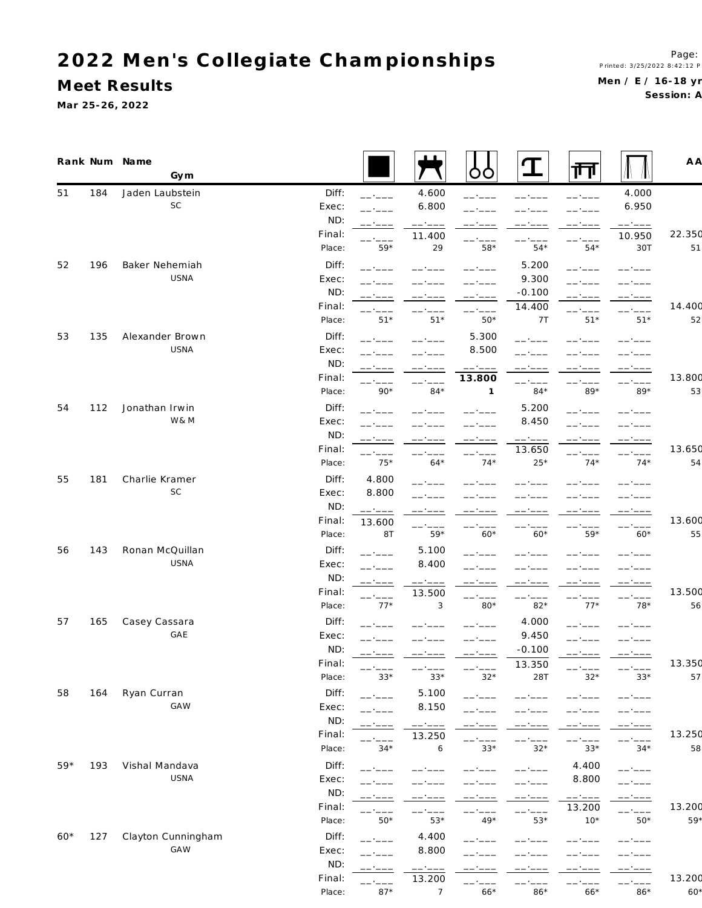**M eet Results**

**Ma r 25-26, 2022**

|       |     | Rank Num Name<br>Gym |        |                                                                                                                                                                                                                                                                                                                                                                                                                                                                                              |                                                                                                                                                                                                                                                                                                                                                                                                                                                                                                        | OO                                                                                                                                                                                                                                                                                                                                                                                                                                                                                   |                 | Щ                | Æ۱               | A A    |
|-------|-----|----------------------|--------|----------------------------------------------------------------------------------------------------------------------------------------------------------------------------------------------------------------------------------------------------------------------------------------------------------------------------------------------------------------------------------------------------------------------------------------------------------------------------------------------|--------------------------------------------------------------------------------------------------------------------------------------------------------------------------------------------------------------------------------------------------------------------------------------------------------------------------------------------------------------------------------------------------------------------------------------------------------------------------------------------------------|--------------------------------------------------------------------------------------------------------------------------------------------------------------------------------------------------------------------------------------------------------------------------------------------------------------------------------------------------------------------------------------------------------------------------------------------------------------------------------------|-----------------|------------------|------------------|--------|
| 51    | 184 | Jaden Laubstein      | Diff:  | ------                                                                                                                                                                                                                                                                                                                                                                                                                                                                                       | 4.600                                                                                                                                                                                                                                                                                                                                                                                                                                                                                                  |                                                                                                                                                                                                                                                                                                                                                                                                                                                                                      |                 |                  | 4.000            |        |
|       |     | <b>SC</b>            | Exec:  |                                                                                                                                                                                                                                                                                                                                                                                                                                                                                              | 6.800                                                                                                                                                                                                                                                                                                                                                                                                                                                                                                  |                                                                                                                                                                                                                                                                                                                                                                                                                                                                                      |                 |                  | 6.950            |        |
|       |     |                      | ND:    | ------                                                                                                                                                                                                                                                                                                                                                                                                                                                                                       | $--- - - - -$                                                                                                                                                                                                                                                                                                                                                                                                                                                                                          |                                                                                                                                                                                                                                                                                                                                                                                                                                                                                      |                 |                  | ------           |        |
|       |     |                      | Final: |                                                                                                                                                                                                                                                                                                                                                                                                                                                                                              | 11.400                                                                                                                                                                                                                                                                                                                                                                                                                                                                                                 |                                                                                                                                                                                                                                                                                                                                                                                                                                                                                      |                 | ------           | 10.950           | 22.350 |
|       |     |                      | Place: | $59*$                                                                                                                                                                                                                                                                                                                                                                                                                                                                                        | 29                                                                                                                                                                                                                                                                                                                                                                                                                                                                                                     | $58*$                                                                                                                                                                                                                                                                                                                                                                                                                                                                                | $54*$           | $54*$            | 30T              | 51     |
| 52    | 196 | Baker Nehemiah       | Diff:  | $   -$                                                                                                                                                                                                                                                                                                                                                                                                                                                                                       |                                                                                                                                                                                                                                                                                                                                                                                                                                                                                                        |                                                                                                                                                                                                                                                                                                                                                                                                                                                                                      | 5.200           | -- ----          |                  |        |
|       |     | USNA                 | Exec:  |                                                                                                                                                                                                                                                                                                                                                                                                                                                                                              |                                                                                                                                                                                                                                                                                                                                                                                                                                                                                                        |                                                                                                                                                                                                                                                                                                                                                                                                                                                                                      | 9.300           |                  |                  |        |
|       |     |                      | ND:    |                                                                                                                                                                                                                                                                                                                                                                                                                                                                                              |                                                                                                                                                                                                                                                                                                                                                                                                                                                                                                        |                                                                                                                                                                                                                                                                                                                                                                                                                                                                                      | $-0.100$        | -- ---           |                  |        |
|       |     |                      | Final: |                                                                                                                                                                                                                                                                                                                                                                                                                                                                                              |                                                                                                                                                                                                                                                                                                                                                                                                                                                                                                        |                                                                                                                                                                                                                                                                                                                                                                                                                                                                                      | 14.400          | -- ----          |                  | 14.400 |
|       |     |                      | Place: | $51*$                                                                                                                                                                                                                                                                                                                                                                                                                                                                                        | $51*$                                                                                                                                                                                                                                                                                                                                                                                                                                                                                                  | $50*$                                                                                                                                                                                                                                                                                                                                                                                                                                                                                | 7 T             | $51*$            | $51*$            | 52     |
| 53    | 135 | Alexander Brown      | Diff:  |                                                                                                                                                                                                                                                                                                                                                                                                                                                                                              |                                                                                                                                                                                                                                                                                                                                                                                                                                                                                                        | 5.300                                                                                                                                                                                                                                                                                                                                                                                                                                                                                | ------          |                  |                  |        |
|       |     | USNA                 | Exec:  |                                                                                                                                                                                                                                                                                                                                                                                                                                                                                              |                                                                                                                                                                                                                                                                                                                                                                                                                                                                                                        | 8.500                                                                                                                                                                                                                                                                                                                                                                                                                                                                                |                 |                  |                  |        |
|       |     |                      | ND:    | ------                                                                                                                                                                                                                                                                                                                                                                                                                                                                                       |                                                                                                                                                                                                                                                                                                                                                                                                                                                                                                        | $\begin{tabular}{cccccc} \multicolumn{2}{c}{} & \multicolumn{2}{c}{} & \multicolumn{2}{c}{} & \multicolumn{2}{c}{} & \multicolumn{2}{c}{} & \multicolumn{2}{c}{} & \multicolumn{2}{c}{} & \multicolumn{2}{c}{} & \multicolumn{2}{c}{} & \multicolumn{2}{c}{} & \multicolumn{2}{c}{} & \multicolumn{2}{c}{} & \multicolumn{2}{c}{} & \multicolumn{2}{c}{} & \multicolumn{2}{c}{} & \multicolumn{2}{c}{} & \multicolumn{2}{c}{} & \multicolumn{2}{c}{} & \multicolumn{2}{c}{} & \mult$ |                 | ------           |                  |        |
|       |     |                      | Final: |                                                                                                                                                                                                                                                                                                                                                                                                                                                                                              |                                                                                                                                                                                                                                                                                                                                                                                                                                                                                                        | 13.800                                                                                                                                                                                                                                                                                                                                                                                                                                                                               |                 |                  |                  | 13.800 |
|       |     |                      | Place: | $90*$                                                                                                                                                                                                                                                                                                                                                                                                                                                                                        | $84*$                                                                                                                                                                                                                                                                                                                                                                                                                                                                                                  | $\mathbf{1}$                                                                                                                                                                                                                                                                                                                                                                                                                                                                         | $84*$           | $89*$            | $89*$            | 53     |
| 54    | 112 | Jonathan Irwin       | Diff:  | and a state of the                                                                                                                                                                                                                                                                                                                                                                                                                                                                           |                                                                                                                                                                                                                                                                                                                                                                                                                                                                                                        |                                                                                                                                                                                                                                                                                                                                                                                                                                                                                      | 5.200           | $   -$           |                  |        |
|       |     | W & M                | Exec:  |                                                                                                                                                                                                                                                                                                                                                                                                                                                                                              |                                                                                                                                                                                                                                                                                                                                                                                                                                                                                                        |                                                                                                                                                                                                                                                                                                                                                                                                                                                                                      | 8.450           |                  |                  |        |
|       |     |                      | ND:    |                                                                                                                                                                                                                                                                                                                                                                                                                                                                                              |                                                                                                                                                                                                                                                                                                                                                                                                                                                                                                        |                                                                                                                                                                                                                                                                                                                                                                                                                                                                                      | ------          |                  |                  |        |
|       |     |                      | Final: | -- ----                                                                                                                                                                                                                                                                                                                                                                                                                                                                                      |                                                                                                                                                                                                                                                                                                                                                                                                                                                                                                        | ------                                                                                                                                                                                                                                                                                                                                                                                                                                                                               | 13.650          | ------           | ------           | 13.650 |
|       |     |                      | Place: | $75*$                                                                                                                                                                                                                                                                                                                                                                                                                                                                                        | $64*$                                                                                                                                                                                                                                                                                                                                                                                                                                                                                                  | $74*$                                                                                                                                                                                                                                                                                                                                                                                                                                                                                | $25*$           | $74*$            | $74*$            | 54     |
| 55    | 181 | Charlie Kramer       | Diff:  | 4.800                                                                                                                                                                                                                                                                                                                                                                                                                                                                                        |                                                                                                                                                                                                                                                                                                                                                                                                                                                                                                        |                                                                                                                                                                                                                                                                                                                                                                                                                                                                                      |                 |                  |                  |        |
|       |     | SC                   | Exec:  | 8.800                                                                                                                                                                                                                                                                                                                                                                                                                                                                                        |                                                                                                                                                                                                                                                                                                                                                                                                                                                                                                        |                                                                                                                                                                                                                                                                                                                                                                                                                                                                                      |                 |                  |                  |        |
|       |     |                      | ND:    | $\begin{tabular}{ll} \multicolumn{2}{c} {\textbf{1}} & \multicolumn{2}{c} {\textbf{2}} & \multicolumn{2}{c} {\textbf{3}} & \multicolumn{2}{c} {\textbf{4}} & \multicolumn{2}{c} {\textbf{5}} & \multicolumn{2}{c} {\textbf{6}} & \multicolumn{2}{c} {\textbf{7}} & \multicolumn{2}{c} {\textbf{8}} & \multicolumn{2}{c} {\textbf{9}} & \multicolumn{2}{c} {\textbf{1}} & \multicolumn{2}{c} {\textbf{1}} & \multicolumn{2}{c} {\textbf{1}} & \multicolumn{2}{c} {\textbf{1}} & \multicolumn$ |                                                                                                                                                                                                                                                                                                                                                                                                                                                                                                        |                                                                                                                                                                                                                                                                                                                                                                                                                                                                                      |                 |                  |                  |        |
|       |     |                      | Final: | 13.600                                                                                                                                                                                                                                                                                                                                                                                                                                                                                       |                                                                                                                                                                                                                                                                                                                                                                                                                                                                                                        |                                                                                                                                                                                                                                                                                                                                                                                                                                                                                      |                 |                  |                  | 13.600 |
|       |     |                      | Place: | 8T                                                                                                                                                                                                                                                                                                                                                                                                                                                                                           | ------<br>$59*$                                                                                                                                                                                                                                                                                                                                                                                                                                                                                        | -- ----<br>$60*$                                                                                                                                                                                                                                                                                                                                                                                                                                                                     | $60*$           | -- ----<br>59*   | -- ----<br>$60*$ | 55     |
| 56    | 143 | Ronan McQuillan      | Diff:  |                                                                                                                                                                                                                                                                                                                                                                                                                                                                                              | 5.100                                                                                                                                                                                                                                                                                                                                                                                                                                                                                                  |                                                                                                                                                                                                                                                                                                                                                                                                                                                                                      |                 |                  |                  |        |
|       |     | USNA                 | Exec:  | -- ----                                                                                                                                                                                                                                                                                                                                                                                                                                                                                      | 8.400                                                                                                                                                                                                                                                                                                                                                                                                                                                                                                  |                                                                                                                                                                                                                                                                                                                                                                                                                                                                                      |                 |                  |                  |        |
|       |     |                      | ND:    | ------                                                                                                                                                                                                                                                                                                                                                                                                                                                                                       |                                                                                                                                                                                                                                                                                                                                                                                                                                                                                                        |                                                                                                                                                                                                                                                                                                                                                                                                                                                                                      |                 |                  |                  |        |
|       |     |                      | Final: | ------                                                                                                                                                                                                                                                                                                                                                                                                                                                                                       | $\begin{tabular}{ll} \multicolumn{2}{c} {\textbf{1}} & \multicolumn{2}{c} {\textbf{2}} & \multicolumn{2}{c} {\textbf{3}} & \multicolumn{2}{c} {\textbf{4}} & \multicolumn{2}{c} {\textbf{5}} & \multicolumn{2}{c} {\textbf{6}} & \multicolumn{2}{c} {\textbf{7}} & \multicolumn{2}{c} {\textbf{8}} & \multicolumn{2}{c} {\textbf{9}} & \multicolumn{2}{c} {\textbf{1}} & \multicolumn{2}{c} {\textbf{1}} & \multicolumn{2}{c} {\textbf{1}} & \multicolumn{2}{c} {\textbf{1}} & \multicolumn$<br>13.500 | $--- ---- -$                                                                                                                                                                                                                                                                                                                                                                                                                                                                         | ------          | ------           | ------           | 13.500 |
|       |     |                      | Place: | -- ----<br>$77*$                                                                                                                                                                                                                                                                                                                                                                                                                                                                             | 3                                                                                                                                                                                                                                                                                                                                                                                                                                                                                                      | $-- -$<br>$80*$                                                                                                                                                                                                                                                                                                                                                                                                                                                                      | $82*$           | $--- -$<br>$77*$ | $78*$            | 56     |
| 57    | 165 | Casey Cassara        | Diff:  |                                                                                                                                                                                                                                                                                                                                                                                                                                                                                              |                                                                                                                                                                                                                                                                                                                                                                                                                                                                                                        |                                                                                                                                                                                                                                                                                                                                                                                                                                                                                      | 4.000           |                  |                  |        |
|       |     | GAE                  | Exec:  | -----                                                                                                                                                                                                                                                                                                                                                                                                                                                                                        | ------                                                                                                                                                                                                                                                                                                                                                                                                                                                                                                 |                                                                                                                                                                                                                                                                                                                                                                                                                                                                                      | 9.450           | $   -$           |                  |        |
|       |     |                      | ND:    |                                                                                                                                                                                                                                                                                                                                                                                                                                                                                              |                                                                                                                                                                                                                                                                                                                                                                                                                                                                                                        |                                                                                                                                                                                                                                                                                                                                                                                                                                                                                      | $-0.100$        |                  |                  |        |
|       |     |                      | Final: | -- ----                                                                                                                                                                                                                                                                                                                                                                                                                                                                                      | كالمساد كالمسا                                                                                                                                                                                                                                                                                                                                                                                                                                                                                         |                                                                                                                                                                                                                                                                                                                                                                                                                                                                                      | 13.350          | -- ----          |                  | 13.350 |
|       |     |                      | Place: | $33*$                                                                                                                                                                                                                                                                                                                                                                                                                                                                                        | $33*$                                                                                                                                                                                                                                                                                                                                                                                                                                                                                                  | $32*$                                                                                                                                                                                                                                                                                                                                                                                                                                                                                | 28T             | $32*$            | $33*$            | 57     |
| 58    | 164 | Ryan Curran          | Diff:  |                                                                                                                                                                                                                                                                                                                                                                                                                                                                                              |                                                                                                                                                                                                                                                                                                                                                                                                                                                                                                        |                                                                                                                                                                                                                                                                                                                                                                                                                                                                                      |                 |                  |                  |        |
|       |     | GAW                  | Exec:  | ------                                                                                                                                                                                                                                                                                                                                                                                                                                                                                       | 5.100<br>8.150                                                                                                                                                                                                                                                                                                                                                                                                                                                                                         | -------                                                                                                                                                                                                                                                                                                                                                                                                                                                                              |                 |                  |                  |        |
|       |     |                      | ND:    | -- ----                                                                                                                                                                                                                                                                                                                                                                                                                                                                                      |                                                                                                                                                                                                                                                                                                                                                                                                                                                                                                        |                                                                                                                                                                                                                                                                                                                                                                                                                                                                                      |                 |                  |                  |        |
|       |     |                      | Final: | ------                                                                                                                                                                                                                                                                                                                                                                                                                                                                                       | $\begin{tabular}{ll} \multicolumn{2}{c}{\hspace{-2.5ex}\textbf{---}} & \multicolumn{2}{c}{\hspace{-2.5ex}\textbf{---}} & \multicolumn{2}{c}{\hspace{-2.5ex}\textbf{---}} & \multicolumn{2}{c}{\hspace{-2.5ex}\textbf{---}} & \multicolumn{2}{c}{\hspace{-2.5ex}\textbf{---}} & \multicolumn{2}{c}{\hspace{-2.5ex}\textbf{---}} & \multicolumn{2}{c}{\hspace{-2.5ex}\textbf{---}} & \multicolumn{2}{c}{\hspace{-2.5ex}\textbf{---}} & \multicolumn{2}{c}{\hspace{-2.5ex}\textbf$                        | -- ----                                                                                                                                                                                                                                                                                                                                                                                                                                                                              |                 |                  | ------           | 13.250 |
|       |     |                      | Place: | $34*$                                                                                                                                                                                                                                                                                                                                                                                                                                                                                        | 13.250<br>6                                                                                                                                                                                                                                                                                                                                                                                                                                                                                            | $33*$                                                                                                                                                                                                                                                                                                                                                                                                                                                                                | ------<br>$32*$ | ------<br>$33*$  | -- ----<br>$34*$ | 58     |
|       |     |                      |        |                                                                                                                                                                                                                                                                                                                                                                                                                                                                                              |                                                                                                                                                                                                                                                                                                                                                                                                                                                                                                        |                                                                                                                                                                                                                                                                                                                                                                                                                                                                                      |                 |                  |                  |        |
| $59*$ | 193 | Vishal Mandava       | Diff:  | ------                                                                                                                                                                                                                                                                                                                                                                                                                                                                                       |                                                                                                                                                                                                                                                                                                                                                                                                                                                                                                        | ------                                                                                                                                                                                                                                                                                                                                                                                                                                                                               | ------          | 4.400            | ------           |        |
|       |     | USNA                 | Exec:  | $-$ - $ -$                                                                                                                                                                                                                                                                                                                                                                                                                                                                                   |                                                                                                                                                                                                                                                                                                                                                                                                                                                                                                        |                                                                                                                                                                                                                                                                                                                                                                                                                                                                                      | ------          | 8.800            | ------           |        |
|       |     |                      | ND:    | ------                                                                                                                                                                                                                                                                                                                                                                                                                                                                                       | -- ----                                                                                                                                                                                                                                                                                                                                                                                                                                                                                                | -- ----                                                                                                                                                                                                                                                                                                                                                                                                                                                                              | ------          | ------           | ------           |        |
|       |     |                      | Final: |                                                                                                                                                                                                                                                                                                                                                                                                                                                                                              |                                                                                                                                                                                                                                                                                                                                                                                                                                                                                                        |                                                                                                                                                                                                                                                                                                                                                                                                                                                                                      | ------          | 13.200           | بالمساحية        | 13.200 |
|       |     |                      | Place: | $50*$                                                                                                                                                                                                                                                                                                                                                                                                                                                                                        | $53*$                                                                                                                                                                                                                                                                                                                                                                                                                                                                                                  | $49*$                                                                                                                                                                                                                                                                                                                                                                                                                                                                                | $53*$           | $10*$            | $50*$            | $59*$  |
| $60*$ | 127 | Clayton Cunningham   | Diff:  | ------                                                                                                                                                                                                                                                                                                                                                                                                                                                                                       | 4.400                                                                                                                                                                                                                                                                                                                                                                                                                                                                                                  |                                                                                                                                                                                                                                                                                                                                                                                                                                                                                      |                 |                  |                  |        |
|       |     | <b>GAW</b>           | Exec:  | - - - - -                                                                                                                                                                                                                                                                                                                                                                                                                                                                                    | 8.800                                                                                                                                                                                                                                                                                                                                                                                                                                                                                                  |                                                                                                                                                                                                                                                                                                                                                                                                                                                                                      |                 |                  |                  |        |
|       |     |                      | ND:    |                                                                                                                                                                                                                                                                                                                                                                                                                                                                                              |                                                                                                                                                                                                                                                                                                                                                                                                                                                                                                        |                                                                                                                                                                                                                                                                                                                                                                                                                                                                                      |                 | -- ----          | -----            |        |
|       |     |                      | Final: | $   -$                                                                                                                                                                                                                                                                                                                                                                                                                                                                                       | 13.200                                                                                                                                                                                                                                                                                                                                                                                                                                                                                                 | ------                                                                                                                                                                                                                                                                                                                                                                                                                                                                               |                 |                  | ------           | 13.200 |
|       |     |                      | Place: | $87*$                                                                                                                                                                                                                                                                                                                                                                                                                                                                                        | $\overline{7}$                                                                                                                                                                                                                                                                                                                                                                                                                                                                                         | $66*$                                                                                                                                                                                                                                                                                                                                                                                                                                                                                | 86*             | $66*$            | $86*$            | $60*$  |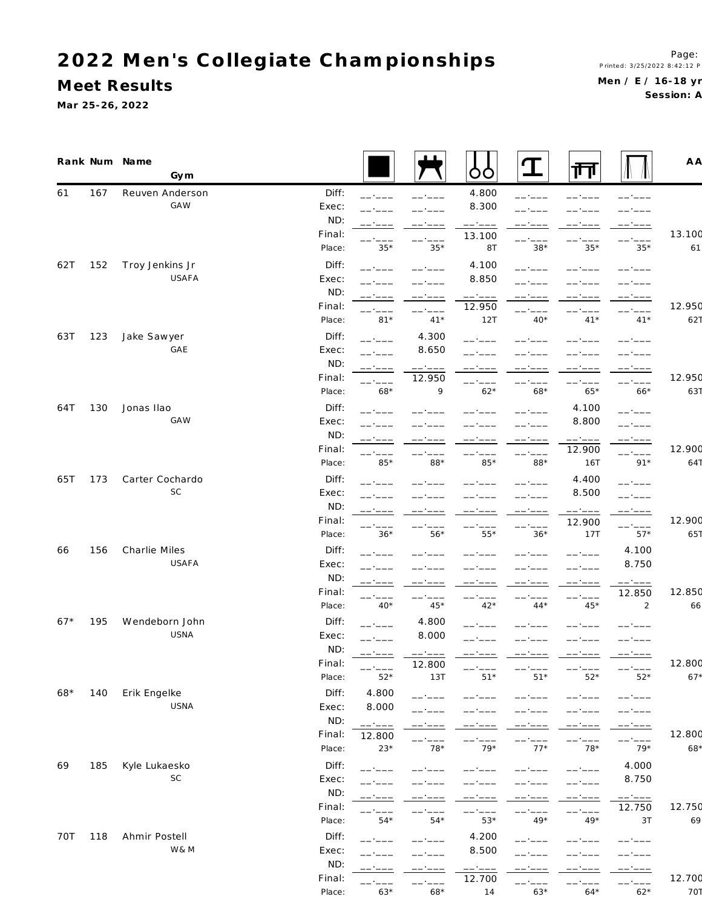**M eet Results**

**Ma r 25-26, 2022**

|       |     | Rank Num Name<br>Gym   |        |                  |                              | ŎŎ                                                    | T       | 帀                                                                                                                                                                                                                                                                                                                                                                                                                                                                                              |                  | A A             |
|-------|-----|------------------------|--------|------------------|------------------------------|-------------------------------------------------------|---------|------------------------------------------------------------------------------------------------------------------------------------------------------------------------------------------------------------------------------------------------------------------------------------------------------------------------------------------------------------------------------------------------------------------------------------------------------------------------------------------------|------------------|-----------------|
| 61    | 167 | Reuven Anderson        | Diff:  | ------           | -- ----                      | 4.800                                                 | -- ---- |                                                                                                                                                                                                                                                                                                                                                                                                                                                                                                |                  |                 |
|       |     | <b>GAW</b>             | Exec:  |                  |                              | 8.300                                                 |         |                                                                                                                                                                                                                                                                                                                                                                                                                                                                                                |                  |                 |
|       |     |                        | ND:    | -- ----          | -- ----                      | $\begin{array}{cccccc} - & - & - & - & - \end{array}$ | ------  | —— +———                                                                                                                                                                                                                                                                                                                                                                                                                                                                                        | -- ----          |                 |
|       |     |                        | Final: | -- ----          | ------                       | 13.100                                                | ------  | ------                                                                                                                                                                                                                                                                                                                                                                                                                                                                                         | ------           | 13.100          |
|       |     |                        | Place: | $35*$            | $35*$                        | 8T                                                    | $38*$   | $35*$                                                                                                                                                                                                                                                                                                                                                                                                                                                                                          | $35*$            | 61              |
| 62T   | 152 | Troy Jenkins Jr        | Diff:  | ------           |                              | 4.100                                                 | ------  |                                                                                                                                                                                                                                                                                                                                                                                                                                                                                                | __.__            |                 |
|       |     | USAFA                  | Exec:  |                  | ------                       | 8.850                                                 |         |                                                                                                                                                                                                                                                                                                                                                                                                                                                                                                |                  |                 |
|       |     |                        | ND:    | -- ----          | -- ----                      | $--- ---- -$                                          |         | -- ----                                                                                                                                                                                                                                                                                                                                                                                                                                                                                        | ------           |                 |
|       |     |                        | Final: |                  | $-$ - $ -$                   | 12.950                                                |         |                                                                                                                                                                                                                                                                                                                                                                                                                                                                                                | -- '-            | 12.950          |
|       |     |                        | Place: | $81*$            | $41*$                        | 12T                                                   | $40*$   | $41*$                                                                                                                                                                                                                                                                                                                                                                                                                                                                                          | $41*$            | 627             |
| 63T   | 123 | Jake Sawyer            | Diff:  | -- ----          | 4.300                        | -- ----                                               |         |                                                                                                                                                                                                                                                                                                                                                                                                                                                                                                |                  |                 |
|       |     | GAE                    | Exec:  |                  | 8.650                        |                                                       |         |                                                                                                                                                                                                                                                                                                                                                                                                                                                                                                |                  |                 |
|       |     |                        | ND:    |                  | ------                       | ------                                                | -- ---- | ------                                                                                                                                                                                                                                                                                                                                                                                                                                                                                         | ------           |                 |
|       |     |                        | Final: |                  | 12.950                       | ------                                                |         | -- ----                                                                                                                                                                                                                                                                                                                                                                                                                                                                                        | —— <u>-</u>      | 12.950          |
|       |     |                        | Place: | 68*              | 9                            | $62*$                                                 | $68*$   | $65*$                                                                                                                                                                                                                                                                                                                                                                                                                                                                                          | $66*$            | 631             |
| 64T   | 130 | Jonas Ilao             | Diff:  |                  |                              |                                                       |         | 4.100                                                                                                                                                                                                                                                                                                                                                                                                                                                                                          | -- ----          |                 |
|       |     | GAW                    | Exec:  |                  |                              |                                                       |         | 8.800                                                                                                                                                                                                                                                                                                                                                                                                                                                                                          |                  |                 |
|       |     |                        | ND:    |                  |                              | __._                                                  | -- ---- | $\begin{tabular}{ll} \multicolumn{2}{c} {\textbf{1}} & \multicolumn{2}{c} {\textbf{2}} & \multicolumn{2}{c} {\textbf{3}} & \multicolumn{2}{c} {\textbf{4}} \\ \multicolumn{2}{c} {\textbf{5}} & \multicolumn{2}{c} {\textbf{6}} & \multicolumn{2}{c} {\textbf{7}} & \multicolumn{2}{c} {\textbf{8}} & \multicolumn{2}{c} {\textbf{9}} \\ \multicolumn{2}{c} {\textbf{1}} & \multicolumn{2}{c} {\textbf{1}} & \multicolumn{2}{c} {\textbf{1}} & \multicolumn{2}{c} {\textbf{1}} & \multicolumn$ |                  |                 |
|       |     |                        | Final: |                  |                              |                                                       | ------  | 12.900                                                                                                                                                                                                                                                                                                                                                                                                                                                                                         | بالمساحية        | 12.900          |
|       |     |                        | Place: | 85*              | $88*$                        | $85*$                                                 | 88*     | 16T                                                                                                                                                                                                                                                                                                                                                                                                                                                                                            | $91*$            | 641             |
| 65T   | 173 | Carter Cochardo        | Diff:  |                  |                              |                                                       |         | 4.400                                                                                                                                                                                                                                                                                                                                                                                                                                                                                          |                  |                 |
|       |     | SC                     | Exec:  |                  |                              |                                                       |         | 8.500                                                                                                                                                                                                                                                                                                                                                                                                                                                                                          |                  |                 |
|       |     |                        | ND:    |                  |                              |                                                       |         | ------                                                                                                                                                                                                                                                                                                                                                                                                                                                                                         |                  |                 |
|       |     |                        | Final: |                  |                              |                                                       |         | 12.900                                                                                                                                                                                                                                                                                                                                                                                                                                                                                         |                  | 12.900          |
|       |     |                        | Place: | $36*$            | $56*$                        | ------<br>$55*$                                       | $36*$   | 17T                                                                                                                                                                                                                                                                                                                                                                                                                                                                                            | ------<br>$57*$  | 651             |
| 66    | 156 | Charlie Miles          | Diff:  |                  |                              |                                                       |         |                                                                                                                                                                                                                                                                                                                                                                                                                                                                                                | 4.100            |                 |
|       |     | USAFA                  | Exec:  |                  |                              |                                                       |         |                                                                                                                                                                                                                                                                                                                                                                                                                                                                                                | 8.750            |                 |
|       |     |                        | ND:    |                  |                              |                                                       |         |                                                                                                                                                                                                                                                                                                                                                                                                                                                                                                |                  |                 |
|       |     |                        | Final: | ------           | ------                       | $--- ---- -$                                          | ------  | ------                                                                                                                                                                                                                                                                                                                                                                                                                                                                                         | ------<br>12.850 | 12.850          |
|       |     |                        | Place: | -- ----<br>$40*$ | -- ----<br>$45*$             | $42*$                                                 | $44*$   | ------<br>$45*$                                                                                                                                                                                                                                                                                                                                                                                                                                                                                | 2                | 66              |
|       |     |                        |        |                  |                              |                                                       |         |                                                                                                                                                                                                                                                                                                                                                                                                                                                                                                |                  |                 |
| $67*$ | 195 | Wendeborn John<br>USNA | Diff:  | بالمساحية        | 4.800                        | ------                                                |         |                                                                                                                                                                                                                                                                                                                                                                                                                                                                                                |                  |                 |
|       |     |                        | Exec:  | -- ----          | 8.000                        |                                                       |         |                                                                                                                                                                                                                                                                                                                                                                                                                                                                                                |                  |                 |
|       |     |                        | ND:    | ------           | ------                       |                                                       |         | ------                                                                                                                                                                                                                                                                                                                                                                                                                                                                                         | ------           |                 |
|       |     |                        | Final: | $52*$            | 12.800                       |                                                       |         |                                                                                                                                                                                                                                                                                                                                                                                                                                                                                                |                  | 12.800<br>$67*$ |
|       |     |                        | Place: |                  | 13T                          | $51*$                                                 | $51*$   | $52*$                                                                                                                                                                                                                                                                                                                                                                                                                                                                                          | $52*$            |                 |
| $68*$ | 140 | Erik Engelke           | Diff:  | 4.800            | __.__                        |                                                       |         |                                                                                                                                                                                                                                                                                                                                                                                                                                                                                                |                  |                 |
|       |     | USNA                   | Exec:  | 8.000            |                              |                                                       |         |                                                                                                                                                                                                                                                                                                                                                                                                                                                                                                |                  |                 |
|       |     |                        | ND:    | ------           |                              |                                                       |         |                                                                                                                                                                                                                                                                                                                                                                                                                                                                                                |                  |                 |
|       |     |                        | Final: | 12.800           | ------                       | ------                                                | -- ---- | ------                                                                                                                                                                                                                                                                                                                                                                                                                                                                                         | ------           | 12.800          |
|       |     |                        | Place: | $23*$            | $78*$                        | $79*$                                                 | $77*$   | $78*$                                                                                                                                                                                                                                                                                                                                                                                                                                                                                          | $79*$            | $68*$           |
| 69    | 185 | Kyle Lukaesko          | Diff:  | - - - - -        |                              |                                                       |         | ------                                                                                                                                                                                                                                                                                                                                                                                                                                                                                         | 4.000            |                 |
|       |     | SC                     | Exec:  |                  |                              |                                                       |         | . <u>.</u>                                                                                                                                                                                                                                                                                                                                                                                                                                                                                     | 8.750            |                 |
|       |     |                        | ND:    | -----            | the contract of the contract | -- ----                                               | -- ---- | ------                                                                                                                                                                                                                                                                                                                                                                                                                                                                                         | ------           |                 |
|       |     |                        | Final: |                  |                              | -- ----                                               |         | ------                                                                                                                                                                                                                                                                                                                                                                                                                                                                                         | 12.750           | 12.750          |
|       |     |                        | Place: | $54*$            | $54*$                        | $53*$                                                 | $49*$   | $49*$                                                                                                                                                                                                                                                                                                                                                                                                                                                                                          | 3T               | 69              |
| 70T   | 118 | Ahmir Postell          | Diff:  | - - - - -        |                              | 4.200                                                 |         |                                                                                                                                                                                                                                                                                                                                                                                                                                                                                                |                  |                 |
|       |     | W& M                   | Exec:  |                  |                              | 8.500                                                 |         |                                                                                                                                                                                                                                                                                                                                                                                                                                                                                                |                  |                 |
|       |     |                        | ND:    |                  |                              | ------                                                |         |                                                                                                                                                                                                                                                                                                                                                                                                                                                                                                |                  |                 |
|       |     |                        | Final: |                  | -- ---                       | 12.700                                                |         |                                                                                                                                                                                                                                                                                                                                                                                                                                                                                                |                  | 12.700          |

Place: 63\* 68\* 14 63\* 64\* 62\* 70T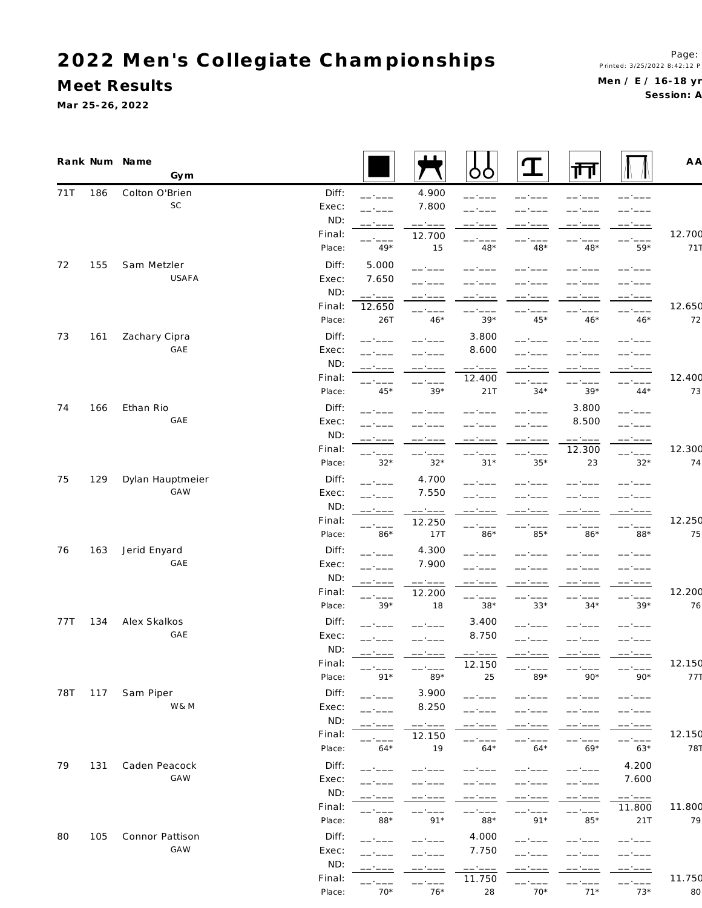**M eet Results**

**Ma r 25-26, 2022**

Session: A

|     |     | Rank Num Name<br>Gym |                |                 |                 | Ò                       | Т                                                                                                                                                                                                                                                                                                                                                                                            | गेन              |                  | A A    |
|-----|-----|----------------------|----------------|-----------------|-----------------|-------------------------|----------------------------------------------------------------------------------------------------------------------------------------------------------------------------------------------------------------------------------------------------------------------------------------------------------------------------------------------------------------------------------------------|------------------|------------------|--------|
| 71T | 186 | Colton O'Brien       | Diff:          | ------          | 4.900           | ------                  |                                                                                                                                                                                                                                                                                                                                                                                              |                  |                  |        |
|     |     | SC                   | Exec:          |                 | 7.800           |                         |                                                                                                                                                                                                                                                                                                                                                                                              |                  |                  |        |
|     |     |                      | ND:            |                 | ------          |                         |                                                                                                                                                                                                                                                                                                                                                                                              |                  |                  |        |
|     |     |                      | Final:         |                 | 12.700          |                         |                                                                                                                                                                                                                                                                                                                                                                                              |                  |                  | 12.700 |
|     |     |                      | Place:         | $49*$           | 15              | $48*$                   | $48*$                                                                                                                                                                                                                                                                                                                                                                                        | $48*$            | $59*$            | 711    |
| 72  | 155 | Sam Metzler          | Diff:          | 5.000           |                 |                         |                                                                                                                                                                                                                                                                                                                                                                                              |                  |                  |        |
|     |     | USAFA                | Exec:          | 7.650           |                 |                         |                                                                                                                                                                                                                                                                                                                                                                                              |                  |                  |        |
|     |     |                      | ND:            | ------          |                 |                         |                                                                                                                                                                                                                                                                                                                                                                                              |                  |                  |        |
|     |     |                      | Final:         | 12.650          |                 | ------                  |                                                                                                                                                                                                                                                                                                                                                                                              | -- ----          |                  | 12.650 |
|     |     |                      | Place:         | 26T             | $46*$           | $39*$                   | $45*$                                                                                                                                                                                                                                                                                                                                                                                        | $46*$            | $46*$            | 72     |
| 73  | 161 | Zachary Cipra        | Diff:          |                 |                 | 3.800                   |                                                                                                                                                                                                                                                                                                                                                                                              |                  |                  |        |
|     |     | GAE                  | Exec:          |                 |                 | 8.600                   |                                                                                                                                                                                                                                                                                                                                                                                              |                  |                  |        |
|     |     |                      | ND:            | -- ----         | ------          | ------                  | $\frac{1}{2} \frac{1}{2} \frac{1}{2} \frac{1}{2} \frac{1}{2} \frac{1}{2} \frac{1}{2} \frac{1}{2} \frac{1}{2} \frac{1}{2} \frac{1}{2} \frac{1}{2} \frac{1}{2} \frac{1}{2} \frac{1}{2} \frac{1}{2} \frac{1}{2} \frac{1}{2} \frac{1}{2} \frac{1}{2} \frac{1}{2} \frac{1}{2} \frac{1}{2} \frac{1}{2} \frac{1}{2} \frac{1}{2} \frac{1}{2} \frac{1}{2} \frac{1}{2} \frac{1}{2} \frac{1}{2} \frac{$ | ------           | ------           |        |
|     |     |                      | Final:         |                 | ------          | 12.400                  | -- ---                                                                                                                                                                                                                                                                                                                                                                                       | ------           | ------           | 12.400 |
|     |     |                      | Place:         | 45*             | $39*$           | 21T                     | $34*$                                                                                                                                                                                                                                                                                                                                                                                        | $39*$            | $44*$            | 73     |
| 74  | 166 | Ethan Rio            | Diff:          | -----           |                 |                         |                                                                                                                                                                                                                                                                                                                                                                                              | 3.800            | ------           |        |
|     |     | GAE                  | Exec:          |                 |                 |                         |                                                                                                                                                                                                                                                                                                                                                                                              | 8.500            | ------           |        |
|     |     |                      | ND:            | ------          |                 | ------                  |                                                                                                                                                                                                                                                                                                                                                                                              | ------           | ------           |        |
|     |     |                      | Final:         |                 |                 |                         | ------                                                                                                                                                                                                                                                                                                                                                                                       | 12.300           | ------           | 12.300 |
|     |     |                      | Place:         | $32*$           | $32*$           | $31*$                   | $35*$                                                                                                                                                                                                                                                                                                                                                                                        | 23               | $32*$            | 74     |
| 75  | 129 | Dylan Hauptmeier     | Diff:          |                 | 4.700           |                         |                                                                                                                                                                                                                                                                                                                                                                                              |                  |                  |        |
|     |     | <b>GAW</b>           | Exec:          |                 | 7.550           |                         |                                                                                                                                                                                                                                                                                                                                                                                              |                  |                  |        |
|     |     |                      | ND:            |                 | ------          |                         |                                                                                                                                                                                                                                                                                                                                                                                              |                  |                  |        |
|     |     |                      | Final:         |                 | 12.250          | ------                  | -- ----                                                                                                                                                                                                                                                                                                                                                                                      | -- ----          | ------           | 12.250 |
|     |     |                      | Place:         | $86*$           | 17T             | $86*$                   | $85*$                                                                                                                                                                                                                                                                                                                                                                                        | $86*$            | 88*              | 75     |
| 76  | 163 | Jerid Enyard         | Diff:          |                 | 4.300           |                         |                                                                                                                                                                                                                                                                                                                                                                                              |                  |                  |        |
|     |     | GAE                  | Exec:          |                 | 7.900           |                         |                                                                                                                                                                                                                                                                                                                                                                                              |                  |                  |        |
|     |     |                      | ND:            |                 | $-- - -$        | ------                  |                                                                                                                                                                                                                                                                                                                                                                                              | -- ----          | -- ----          |        |
|     |     |                      | Final:         |                 | 12.200          | ------                  |                                                                                                                                                                                                                                                                                                                                                                                              |                  | -- ----          | 12.200 |
|     |     |                      | Place:         | $39*$           | 18              | $38*$                   | $33*$                                                                                                                                                                                                                                                                                                                                                                                        | $34*$            | $39*$            | 76     |
| 77T | 134 | Alex Skalkos         | Diff:          |                 |                 | 3.400                   |                                                                                                                                                                                                                                                                                                                                                                                              |                  |                  |        |
|     |     | GAE                  | Exec:          | ------          |                 | 8.750                   |                                                                                                                                                                                                                                                                                                                                                                                              |                  |                  |        |
|     |     |                      | ND:<br>Final:  |                 |                 |                         |                                                                                                                                                                                                                                                                                                                                                                                              |                  |                  | 12.150 |
|     |     |                      | Place:         | $91*$           | ------<br>$89*$ | 12.150<br>25            | $--- ----$<br>$89*$                                                                                                                                                                                                                                                                                                                                                                          | $90*$            | $90*$            | 771    |
|     |     |                      |                |                 |                 |                         |                                                                                                                                                                                                                                                                                                                                                                                              |                  |                  |        |
| 78T | 117 | Sam Piper<br>W& M    | Diff:<br>Exec: | ------          | 3.900<br>8.250  | ------                  |                                                                                                                                                                                                                                                                                                                                                                                              |                  | -- ----          |        |
|     |     |                      | ND:            | $-$ - $ -$      |                 |                         |                                                                                                                                                                                                                                                                                                                                                                                              |                  |                  |        |
|     |     |                      | Final:         |                 | $--- - - - -$   |                         |                                                                                                                                                                                                                                                                                                                                                                                              | -- ----          | ------           | 12.150 |
|     |     |                      | Place:         | $64*$           | 12.150<br>19    | $64*$                   | $64*$                                                                                                                                                                                                                                                                                                                                                                                        | -- ----<br>$69*$ | ------<br>$63*$  | 787    |
| 79  | 131 | Caden Peacock        | Diff:          |                 |                 |                         |                                                                                                                                                                                                                                                                                                                                                                                              |                  | 4.200            |        |
|     |     | GAW                  | Exec:          | $   -$          |                 |                         |                                                                                                                                                                                                                                                                                                                                                                                              |                  | 7.600            |        |
|     |     |                      | ND:            |                 |                 |                         |                                                                                                                                                                                                                                                                                                                                                                                              | ------           |                  |        |
|     |     |                      | Final:         |                 |                 |                         |                                                                                                                                                                                                                                                                                                                                                                                              | ------<br>------ | ------<br>11.800 | 11.800 |
|     |     |                      | Place:         | 88*             | $91*$           | 88*                     | $91*$                                                                                                                                                                                                                                                                                                                                                                                        | 85*              | 21T              | 79     |
| 80  | 105 | Connor Pattison      | Diff:          |                 |                 | 4.000                   |                                                                                                                                                                                                                                                                                                                                                                                              |                  |                  |        |
|     |     | <b>GAW</b>           | Exec:          | - - - - -       |                 | 7.750                   |                                                                                                                                                                                                                                                                                                                                                                                              |                  |                  |        |
|     |     |                      | ND:            |                 |                 |                         |                                                                                                                                                                                                                                                                                                                                                                                              |                  |                  |        |
|     |     |                      | Final:         |                 | - ' - - -       | $--- - - - -$<br>11.750 |                                                                                                                                                                                                                                                                                                                                                                                              |                  | ------           | 11.750 |
|     |     |                      | Place:         | - ----<br>$70*$ | ------<br>$76*$ | 28                      | ------<br>$70*$                                                                                                                                                                                                                                                                                                                                                                              | ------<br>$71*$  | $73*$            | 80     |
|     |     |                      |                |                 |                 |                         |                                                                                                                                                                                                                                                                                                                                                                                              |                  |                  |        |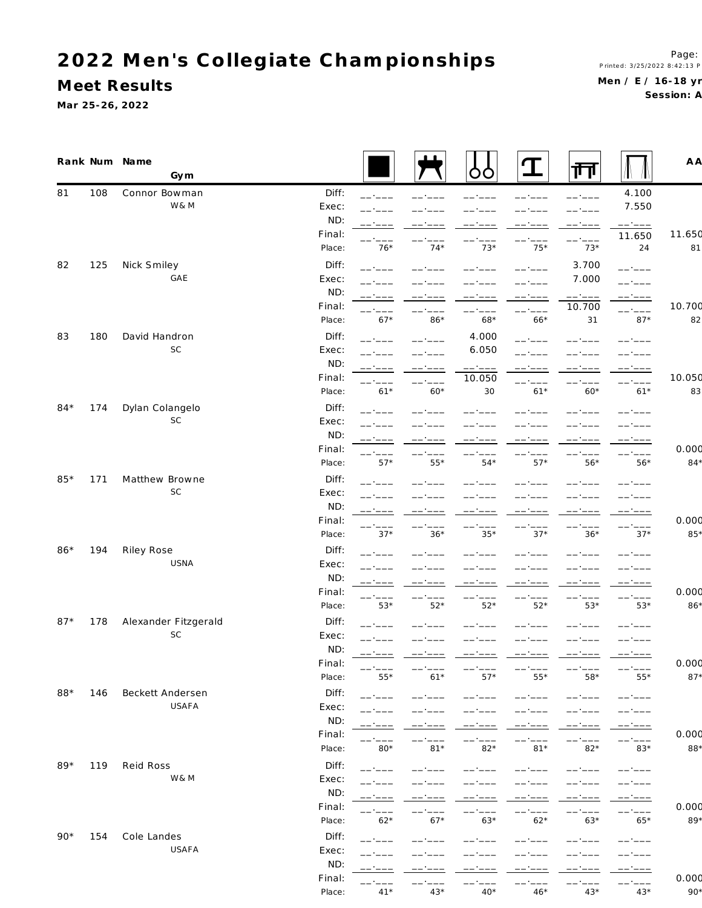**M eet Results**

**Ma r 25-26, 2022**

|       |     | Rank Num Name<br>Gym       |               |                  |                 | OO                                                                                                                                                                                                                                                                                                                                                                                                                  | T                | 帀                                                                                                                                                                                                                                                                                                                                                                                            |                  | A A          |
|-------|-----|----------------------------|---------------|------------------|-----------------|---------------------------------------------------------------------------------------------------------------------------------------------------------------------------------------------------------------------------------------------------------------------------------------------------------------------------------------------------------------------------------------------------------------------|------------------|----------------------------------------------------------------------------------------------------------------------------------------------------------------------------------------------------------------------------------------------------------------------------------------------------------------------------------------------------------------------------------------------|------------------|--------------|
| 81    | 108 | Connor Bowman              | Diff:         | -- ----          |                 |                                                                                                                                                                                                                                                                                                                                                                                                                     |                  |                                                                                                                                                                                                                                                                                                                                                                                              | 4.100            |              |
|       |     | W&M                        | Exec:         |                  |                 |                                                                                                                                                                                                                                                                                                                                                                                                                     |                  |                                                                                                                                                                                                                                                                                                                                                                                              | 7.550            |              |
|       |     |                            | ND:           |                  |                 |                                                                                                                                                                                                                                                                                                                                                                                                                     |                  | ------                                                                                                                                                                                                                                                                                                                                                                                       | ------           |              |
|       |     |                            | Final:        |                  |                 |                                                                                                                                                                                                                                                                                                                                                                                                                     |                  | ------                                                                                                                                                                                                                                                                                                                                                                                       | 11.650           | 11.650       |
|       |     |                            | Place:        | $76*$            | $74*$           | $73*$                                                                                                                                                                                                                                                                                                                                                                                                               | $75*$            | $73*$                                                                                                                                                                                                                                                                                                                                                                                        | 24               | 81           |
| 82    | 125 | Nick Smiley                | Diff:         | -- ----          |                 |                                                                                                                                                                                                                                                                                                                                                                                                                     |                  | 3.700                                                                                                                                                                                                                                                                                                                                                                                        | ------           |              |
|       |     | GAE                        | Exec:         |                  |                 |                                                                                                                                                                                                                                                                                                                                                                                                                     |                  | 7.000                                                                                                                                                                                                                                                                                                                                                                                        | --*---           |              |
|       |     |                            | ND:           |                  |                 |                                                                                                                                                                                                                                                                                                                                                                                                                     | —— ·             | ------                                                                                                                                                                                                                                                                                                                                                                                       | ------           |              |
|       |     |                            | Final:        | $- - -$          |                 | -- ----                                                                                                                                                                                                                                                                                                                                                                                                             | ------           | 10.700                                                                                                                                                                                                                                                                                                                                                                                       | ------           | 10.700       |
|       |     |                            | Place:        | $67*$            | $86*$           | 68*                                                                                                                                                                                                                                                                                                                                                                                                                 | $66*$            | 31                                                                                                                                                                                                                                                                                                                                                                                           | $87*$            | 82           |
| 83    | 180 | David Handron              | Diff:         |                  |                 | 4.000                                                                                                                                                                                                                                                                                                                                                                                                               |                  |                                                                                                                                                                                                                                                                                                                                                                                              |                  |              |
|       |     | SC                         | Exec:         |                  |                 | 6.050                                                                                                                                                                                                                                                                                                                                                                                                               |                  |                                                                                                                                                                                                                                                                                                                                                                                              |                  |              |
|       |     |                            | ND:           | -- ----          | $--- - - -$     | $\begin{tabular}{ll} \multicolumn{2}{c}{\hspace{-2.5pt}-\hspace{-2.5pt}-\hspace{-2.5pt}-\hspace{-2.5pt}-\hspace{-2.5pt}-\hspace{-2.5pt}-\hspace{-2.5pt}-\hspace{-2.5pt}-\hspace{-2.5pt}-\hspace{-2.5pt}-\hspace{-2.5pt}-\hspace{-2.5pt}-\hspace{-2.5pt}-\hspace{-2.5pt}-\hspace{-2.5pt}-\hspace{-2.5pt}-\hspace{-2.5pt}-\hspace{-2.5pt}-\hspace{-2.5pt}-\hspace{-2.5pt}-\hspace{-2.5pt}-\hspace{-2.5pt}-\hspace{-2$ | $--- - - -$      | $\frac{1}{2} \frac{1}{2} \frac{1}{2} \frac{1}{2} \frac{1}{2} \frac{1}{2} \frac{1}{2} \frac{1}{2} \frac{1}{2} \frac{1}{2} \frac{1}{2} \frac{1}{2} \frac{1}{2} \frac{1}{2} \frac{1}{2} \frac{1}{2} \frac{1}{2} \frac{1}{2} \frac{1}{2} \frac{1}{2} \frac{1}{2} \frac{1}{2} \frac{1}{2} \frac{1}{2} \frac{1}{2} \frac{1}{2} \frac{1}{2} \frac{1}{2} \frac{1}{2} \frac{1}{2} \frac{1}{2} \frac{$ | ------           |              |
|       |     |                            | Final:        |                  | $-1$            | 10.050                                                                                                                                                                                                                                                                                                                                                                                                              |                  |                                                                                                                                                                                                                                                                                                                                                                                              | —— * —           | 10.050       |
|       |     |                            | Place:        | $61*$            | $60*$           | 30                                                                                                                                                                                                                                                                                                                                                                                                                  | $61*$            | $60*$                                                                                                                                                                                                                                                                                                                                                                                        | $61*$            | 83           |
| $84*$ | 174 | Dylan Colangelo            | Diff:         |                  |                 |                                                                                                                                                                                                                                                                                                                                                                                                                     |                  |                                                                                                                                                                                                                                                                                                                                                                                              |                  |              |
|       |     | <b>SC</b>                  | Exec:         |                  |                 |                                                                                                                                                                                                                                                                                                                                                                                                                     |                  |                                                                                                                                                                                                                                                                                                                                                                                              |                  |              |
|       |     |                            | ND:           |                  |                 |                                                                                                                                                                                                                                                                                                                                                                                                                     |                  |                                                                                                                                                                                                                                                                                                                                                                                              |                  |              |
|       |     |                            | Final:        | ------           |                 |                                                                                                                                                                                                                                                                                                                                                                                                                     |                  |                                                                                                                                                                                                                                                                                                                                                                                              | -- ----          | 0.000        |
|       |     |                            | Place:        | $57*$            | $55*$           | $54*$                                                                                                                                                                                                                                                                                                                                                                                                               | $57*$            | $56*$                                                                                                                                                                                                                                                                                                                                                                                        | $56*$            | $84*$        |
| $85*$ | 171 | Matthew Browne             | Diff:         |                  |                 |                                                                                                                                                                                                                                                                                                                                                                                                                     |                  |                                                                                                                                                                                                                                                                                                                                                                                              |                  |              |
|       |     | SC                         | Exec:         |                  |                 |                                                                                                                                                                                                                                                                                                                                                                                                                     |                  |                                                                                                                                                                                                                                                                                                                                                                                              |                  |              |
|       |     |                            | ND:           |                  |                 | -- ----                                                                                                                                                                                                                                                                                                                                                                                                             |                  |                                                                                                                                                                                                                                                                                                                                                                                              |                  |              |
|       |     |                            | Final:        | ------           |                 | ------                                                                                                                                                                                                                                                                                                                                                                                                              | ------           | ------                                                                                                                                                                                                                                                                                                                                                                                       | ------           | 0.000<br>85* |
|       |     |                            | Place:        | $37*$            | $36*$           | $35*$                                                                                                                                                                                                                                                                                                                                                                                                               | $37*$            | $36*$                                                                                                                                                                                                                                                                                                                                                                                        | $37*$            |              |
| $86*$ | 194 | Riley Rose                 | Diff:         |                  |                 |                                                                                                                                                                                                                                                                                                                                                                                                                     |                  |                                                                                                                                                                                                                                                                                                                                                                                              |                  |              |
|       |     | USNA                       | Exec:         |                  |                 |                                                                                                                                                                                                                                                                                                                                                                                                                     |                  |                                                                                                                                                                                                                                                                                                                                                                                              |                  |              |
|       |     |                            | ND:<br>Final: | ------           | ------          | $--- ----$                                                                                                                                                                                                                                                                                                                                                                                                          | ------           | ------                                                                                                                                                                                                                                                                                                                                                                                       | ------           | 0.000        |
|       |     |                            | Place:        | ------<br>$53*$  | $52*$           | $52*$                                                                                                                                                                                                                                                                                                                                                                                                               | $52*$            | —— <u>-</u> —<br>$53*$                                                                                                                                                                                                                                                                                                                                                                       | ------<br>$53*$  | 86*          |
|       |     |                            |               |                  |                 |                                                                                                                                                                                                                                                                                                                                                                                                                     |                  |                                                                                                                                                                                                                                                                                                                                                                                              |                  |              |
| $87*$ | 178 | Alexander Fitzgerald<br>SC | Diff:         | ------           |                 |                                                                                                                                                                                                                                                                                                                                                                                                                     |                  |                                                                                                                                                                                                                                                                                                                                                                                              |                  |              |
|       |     |                            | Exec:<br>ND:  |                  |                 |                                                                                                                                                                                                                                                                                                                                                                                                                     |                  |                                                                                                                                                                                                                                                                                                                                                                                              |                  |              |
|       |     |                            | Final:        | -- ----          |                 |                                                                                                                                                                                                                                                                                                                                                                                                                     |                  |                                                                                                                                                                                                                                                                                                                                                                                              | __.__            | 0.000        |
|       |     |                            | Place:        | $55*$            | $61*$           | $57*$                                                                                                                                                                                                                                                                                                                                                                                                               | $55*$            | 58*                                                                                                                                                                                                                                                                                                                                                                                          | $55*$            | $87*$        |
| 88*   | 146 | Beckett Andersen           | Diff:         |                  |                 |                                                                                                                                                                                                                                                                                                                                                                                                                     |                  |                                                                                                                                                                                                                                                                                                                                                                                              |                  |              |
|       |     | USAFA                      | Exec:         | -- ----          |                 |                                                                                                                                                                                                                                                                                                                                                                                                                     |                  |                                                                                                                                                                                                                                                                                                                                                                                              |                  |              |
|       |     |                            | ND:           |                  |                 |                                                                                                                                                                                                                                                                                                                                                                                                                     |                  |                                                                                                                                                                                                                                                                                                                                                                                              |                  |              |
|       |     |                            | Final:        | -- ----          | -- ----         | ------                                                                                                                                                                                                                                                                                                                                                                                                              |                  |                                                                                                                                                                                                                                                                                                                                                                                              | ------           | 0.000        |
|       |     |                            | Place:        | -- ----<br>$80*$ | ------<br>$81*$ | ------<br>$82*$                                                                                                                                                                                                                                                                                                                                                                                                     | ------<br>$81*$  | ------<br>$82*$                                                                                                                                                                                                                                                                                                                                                                              | -- ----<br>$83*$ | 88*          |
| $89*$ | 119 | Reid Ross                  | Diff:         |                  |                 |                                                                                                                                                                                                                                                                                                                                                                                                                     |                  |                                                                                                                                                                                                                                                                                                                                                                                              |                  |              |
|       |     | W& M                       | Exec:         | ------           |                 | ------                                                                                                                                                                                                                                                                                                                                                                                                              |                  |                                                                                                                                                                                                                                                                                                                                                                                              | ------           |              |
|       |     |                            | ND:           | ------           |                 |                                                                                                                                                                                                                                                                                                                                                                                                                     |                  |                                                                                                                                                                                                                                                                                                                                                                                              | ------           |              |
|       |     |                            | Final:        | ------           | ------          | -- ----                                                                                                                                                                                                                                                                                                                                                                                                             | ------           | ------                                                                                                                                                                                                                                                                                                                                                                                       | ------           | 0.000        |
|       |     |                            | Place:        | ------<br>$62*$  | $67*$           | $63*$                                                                                                                                                                                                                                                                                                                                                                                                               | -- ----<br>$62*$ | -- ----<br>$63*$                                                                                                                                                                                                                                                                                                                                                                             | ------<br>$65*$  | $89*$        |
| $90*$ | 154 | Cole Landes                | Diff:         |                  |                 |                                                                                                                                                                                                                                                                                                                                                                                                                     |                  |                                                                                                                                                                                                                                                                                                                                                                                              |                  |              |
|       |     | USAFA                      | Exec:         | $   -$           |                 |                                                                                                                                                                                                                                                                                                                                                                                                                     |                  |                                                                                                                                                                                                                                                                                                                                                                                              |                  |              |
|       |     |                            | ND:           |                  |                 |                                                                                                                                                                                                                                                                                                                                                                                                                     |                  |                                                                                                                                                                                                                                                                                                                                                                                              |                  |              |
|       |     |                            | Final:        |                  |                 |                                                                                                                                                                                                                                                                                                                                                                                                                     | -- ----          |                                                                                                                                                                                                                                                                                                                                                                                              |                  | 0.000        |
|       |     |                            |               | ------           | ------          | ------                                                                                                                                                                                                                                                                                                                                                                                                              | ------           | ------                                                                                                                                                                                                                                                                                                                                                                                       | ------           |              |

Place: 41\* 43\* 40\* 46\* 43\* 43\* 90\*